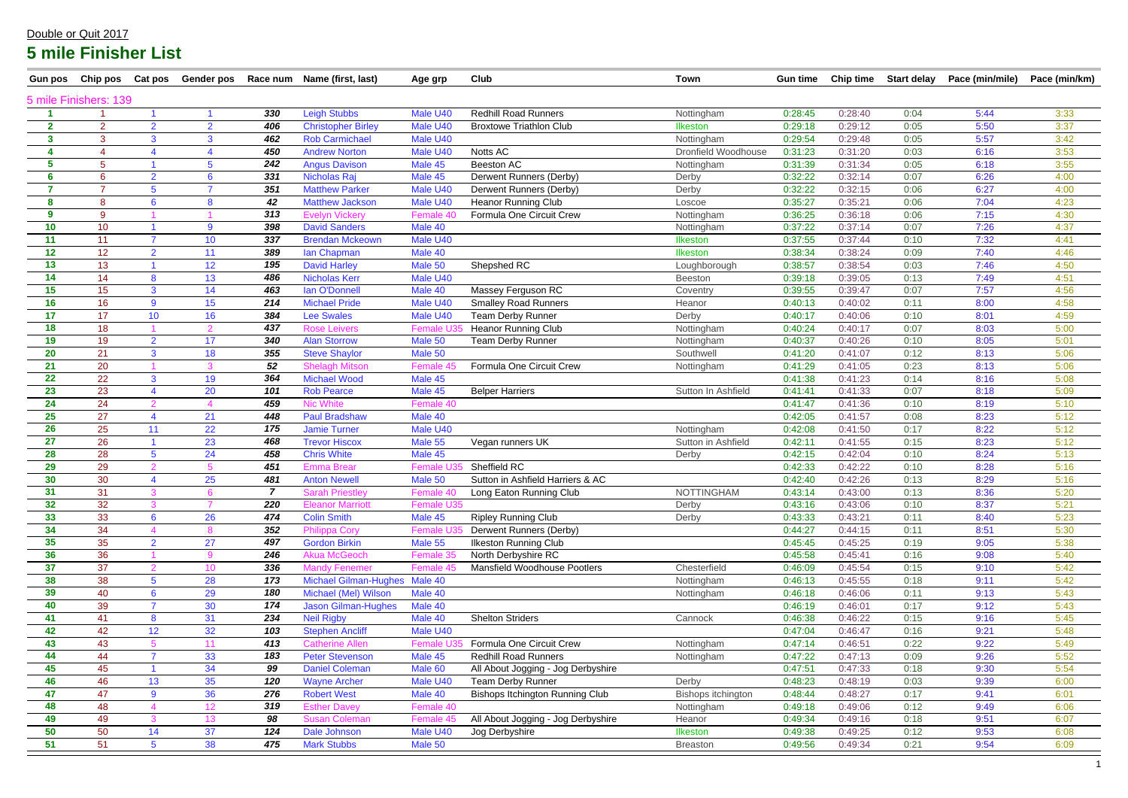| <b>Gun pos</b> | Chip pos Cat pos      |                 |                        |                | Gender pos Race num Name (first, last) | Age grp    | <b>Club</b>                         | <b>Town</b>         | <b>Gun time</b> |         |      | Chip time Start delay Pace (min/mile) | Pace (min/km) |
|----------------|-----------------------|-----------------|------------------------|----------------|----------------------------------------|------------|-------------------------------------|---------------------|-----------------|---------|------|---------------------------------------|---------------|
|                | 5 mile Finishers: 139 |                 |                        |                |                                        |            |                                     |                     |                 |         |      |                                       |               |
|                |                       |                 |                        | 330            | <b>Leigh Stubbs</b>                    | Male U40   | <b>Redhill Road Runners</b>         | Nottingham          | 0:28:45         | 0:28:40 | 0:04 | 5:44                                  | 3:33          |
| $\mathbf{2}$   | $\overline{2}$        | 2 <sup>1</sup>  | $\overline{2}$         | 406            | <b>Christopher Birley</b>              | Male U40   | <b>Broxtowe Triathlon Club</b>      | <b>Ilkeston</b>     | 0:29:18         | 0:29:12 | 0:05 | 5:50                                  | 3:37          |
| 3              | 3                     | 3 <sup>1</sup>  | 3                      | 462            | <b>Rob Carmichael</b>                  | Male U40   |                                     | Nottingham          | 0:29:54         | 0:29:48 | 0:05 | 5:57                                  | 3:42          |
| 4              | $\overline{4}$        |                 | $\boldsymbol{\Lambda}$ | 450            | <b>Andrew Norton</b>                   | Male U40   | Notts AC                            | Dronfield Woodhouse | 0:31:23         | 0:31:20 | 0:03 | 6:16                                  | 3:53          |
| 5              | $5\phantom{.0}$       |                 | 5                      | 242            | <b>Angus Davison</b>                   | Male 45    | Beeston AC                          | Nottingham          | 0:31:39         | 0:31:34 | 0:05 | 6:18                                  | 3:55          |
| 6              | $6\phantom{1}$        | $\overline{2}$  | 6                      | 331            | Nicholas Raj                           | Male 45    | Derwent Runners (Derby)             | Derby               | 0:32:22         | 0:32:14 | 0:07 | 6:26                                  | 4:00          |
| $\overline{7}$ |                       | 5               |                        | 351            | <b>Matthew Parker</b>                  | Male U40   | Derwent Runners (Derby)             | Derby               | 0:32:22         | 0:32:15 | 0:06 | 6:27                                  | 4:00          |
| 8              | 8                     | 6               | 8                      | 42             | <b>Matthew Jackson</b>                 | Male U40   | <b>Heanor Running Club</b>          | Loscoe              | 0:35:27         | 0:35:21 | 0:06 | 7:04                                  | 4:23          |
| 9              | 9                     |                 |                        | 313            | <b>Evelyn Vickery</b>                  | Female 40  | Formula One Circuit Crew            | Nottingham          | 0:36:25         | 0:36:18 | 0:06 | 7:15                                  | 4:30          |
| 10             | 10                    |                 | 9                      | 398            | <b>David Sanders</b>                   | Male 40    |                                     | Nottingham          | 0:37:22         | 0:37:14 | 0:07 | 7:26                                  | 4:37          |
| 11             | 11                    | $\overline{7}$  | 10                     | 337            | <b>Brendan Mckeown</b>                 | Male U40   |                                     | Ilkeston            | 0:37:55         | 0:37:44 | 0:10 | 7:32                                  | 4:41          |
| 12             | 12                    | $\overline{2}$  | 11                     | 389            | lan Chapman                            | Male 40    |                                     | <b>Ilkeston</b>     | 0:38:34         | 0:38:24 | 0:09 | 7:40                                  | 4:46          |
| 13             | 13                    |                 | 12 <sub>2</sub>        | 195            | <b>David Harley</b>                    | Male 50    | Shepshed RC                         | Loughborough        | 0:38:57         | 0:38:54 | 0:03 | 7:46                                  | 4:50          |
| 14             | 14                    | 8               | 13                     | 486            | <b>Nicholas Kerr</b>                   | Male U40   |                                     | <b>Beeston</b>      | 0:39:18         | 0:39:05 | 0:13 | 7:49                                  | 4:51          |
| 15             | 15                    | 3 <sup>1</sup>  | 14                     | 463            | Ian O'Donnell                          | Male 40    | Massey Ferguson RC                  | Coventry            | 0:39:55         | 0:39:47 | 0:07 | 7:57                                  | 4:56          |
| 16             | 16                    | 9               | 15 <sub>15</sub>       | 214            | <b>Michael Pride</b>                   | Male U40   | <b>Smalley Road Runners</b>         | Heanor              | 0:40:13         | 0:40:02 | 0:11 | 8:00                                  | 4:58          |
| 17             | 17                    | 10 <sup>1</sup> | 16                     | 384            | <b>Lee Swales</b>                      | Male U40   | <b>Team Derby Runner</b>            | Derby               | 0:40:17         | 0:40:06 | 0:10 | 8:01                                  | 4:59          |
| 18             | 18                    |                 | 2                      | 437            | <b>Rose Leivers</b>                    | Female U   | <b>Heanor Running Club</b>          | Nottingham          | 0:40:24         | 0:40:17 | 0:07 | 8:03                                  | 5:00          |
| 19             | 19                    | 2 <sup>1</sup>  | 17 <sup>2</sup>        | 340            | <b>Alan Storrow</b>                    | Male 50    | <b>Team Derby Runner</b>            | Nottingham          | 0:40:37         | 0:40:26 | 0:10 | 8:05                                  | 5:01          |
| 20             | 21                    | $\mathbf{3}$    | 18                     | 355            | <b>Steve Shaylor</b>                   | Male 50    |                                     | Southwell           | 0:41:20         | 0:41:07 | 0:12 | 8:13                                  | 5:06          |
| 21             | 20                    |                 | 3                      | 52             | <b>Shelagh Mitson</b>                  | Female 4   | Formula One Circuit Crew            | Nottingham          | 0:41:29         | 0:41:05 | 0:23 | 8:13                                  | 5:06          |
| 22             | 22                    | 3               | 19                     | 364            | <b>Michael Wood</b>                    | Male 45    |                                     |                     | 0:41:38         | 0:41:23 | 0:14 | 8:16                                  | 5:08          |
| 23             | 23                    |                 | 20                     | 101            | <b>Rob Pearce</b>                      | Male 45    | <b>Belper Harriers</b>              | Sutton In Ashfield  | 0:41:41         | 0:41:33 | 0:07 | 8:18                                  | 5:09          |
| 24             | 24                    | 2               |                        | 459            | <b>Nic White</b>                       | Female 40  |                                     |                     | 0:41:47         | 0:41:36 | 0:10 | 8:19                                  | 5:10          |
| 25             | 27                    |                 | 21                     | 448            | <b>Paul Bradshaw</b>                   | Male 40    |                                     |                     | 0:42:05         | 0:41:57 | 0:08 | 8:23                                  | 5:12          |
| 26             | 25                    | 11              | 22                     | 175            | <b>Jamie Turner</b>                    | Male U40   |                                     | Nottingham          | 0:42:08         | 0:41:50 | 0:17 | 8:22                                  | 5:12          |
| 27             | 26                    |                 | 23                     | 468            | <b>Trevor Hiscox</b>                   | Male 55    | Vegan runners UK                    | Sutton in Ashfield  | 0:42:11         | 0:41:55 | 0:15 | 8:23                                  | 5:12          |
| 28             | 28                    | $5^{\circ}$     | 24                     | 458            | <b>Chris White</b>                     | Male 45    |                                     | Derby               | 0:42:15         | 0:42:04 | 0:10 | 8:24                                  | 5:13          |
| 29             | 29                    | 2               | 5                      | 451            | <b>Emma Brear</b>                      | Female L   | Sheffield RC                        |                     | 0:42:33         | 0:42:22 | 0:10 | 8:28                                  | 5:16          |
| 30             | 30                    |                 | 25                     | 481            | <b>Anton Newell</b>                    | Male 50    | Sutton in Ashfield Harriers & AC    |                     | 0:42:40         | 0:42:26 | 0:13 | 8:29                                  | 5:16          |
| 31             | 31                    |                 |                        | $\overline{7}$ | <b>Sarah Priestley</b>                 | Female 40  | Long Eaton Running Club             | <b>NOTTINGHAM</b>   | 0:43:14         | 0:43:00 | 0:13 | 8:36                                  | 5:20          |
| 32             | 32                    |                 |                        | 220            | <b>Eleanor Marriott</b>                | Female U35 |                                     | Derby               | 0:43:16         | 0:43:06 | 0:10 | 8:37                                  | 5:21          |
| 33             | 33                    | 6 <sup>1</sup>  | 26                     | 474            | <b>Colin Smith</b>                     | Male 45    | <b>Ripley Running Club</b>          | Derby               | 0:43:33         | 0:43:21 | 0:11 | 8:40                                  | 5:23          |
| 34             | 34                    |                 |                        | 352            | <b>Philippa Cory</b>                   | Female L   | Derwent Runners (Derby)             |                     | 0:44:27         | 0:44:15 | 0:11 | 8:51                                  | 5:30          |
| 35             | 35                    | $\overline{2}$  | 27                     | 497            | <b>Gordon Birkin</b>                   | Male 55    | <b>Ilkeston Running Club</b>        |                     | 0:45:45         | 0:45:25 | 0:19 | 9:05                                  | 5:38          |
| 36             | 36                    |                 | 9                      | 246            | <b>Akua McGeoch</b>                    | Female 35  | North Derbyshire RC                 |                     | 0:45:58         | 0:45:41 | 0:16 | 9:08                                  | 5:40          |
| 37             | 37                    | $\mathcal{P}$   | 10 <sup>°</sup>        | 336            | <b>Mandy Fenemer</b>                   | Female 45  | <b>Mansfield Woodhouse Pootlers</b> | Chesterfield        | 0:46:09         | 0:45:54 | 0:15 | 9:10                                  | 5:42          |
| 38             | 38                    | 5 <sup>5</sup>  | 28                     | 173            | <b>Michael Gilman-Hughes</b>           | Male 40    |                                     | Nottingham          | 0:46:13         | 0:45:55 | 0:18 | 9:11                                  | 5:42          |
| 39             | 40                    | $6\overline{6}$ | 29                     | 180            | Michael (Mel) Wilson                   | Male 40    |                                     | Nottingham          | 0:46:18         | 0:46:06 | 0:11 | 9:13                                  | 5:43          |
| 40             | 39                    |                 | 30                     | 174            | <b>Jason Gilman-Hughes</b>             | Male 40    |                                     |                     | 0:46:19         | 0:46:01 | 0:17 | 9:12                                  | 5:43          |
| 41             | 41                    | 8               | 31                     | 234            | <b>Neil Rigby</b>                      | Male 40    | <b>Shelton Striders</b>             | Cannock             | 0:46:38         | 0:46:22 | 0:15 | 9:16                                  | 5:45          |
| 42             | 42                    | 12 <sub>2</sub> | 32                     | 103            | <b>Stephen Ancliff</b>                 | Male U40   |                                     |                     | 0:47:04         | 0:46:47 | 0:16 | 9:21                                  | 5:48          |
| 43             | 43                    | 5.              | 11                     | 413            | <b>Catherine Allen</b>                 | Female U   | Formula One Circuit Crew            | Nottingham          | 0:47:14         | 0:46:51 | 0:22 | 9:22                                  | 5:49          |
| 44             | 44                    | $\overline{7}$  | 33                     | 183            | <b>Peter Stevenson</b>                 | Male 45    | <b>Redhill Road Runners</b>         | Nottingham          | 0:47:22         | 0:47:13 | 0:09 | 9:26                                  | 5:52          |
| 45             | 45                    |                 | 34                     | 99             | <b>Daniel Coleman</b>                  | Male 60    | All About Jogging - Jog Derbyshire  |                     | 0:47:51         | 0:47:33 | 0:18 | 9:30                                  | 5:54          |
| 46             | 46                    | 13              | 35                     | 120            | <b>Wayne Archer</b>                    | Male U40   | <b>Team Derby Runner</b>            | Derby               | 0:48:23         | 0:48:19 | 0:03 | 9:39                                  | 6:00          |
| 47             | 47                    | $9^{\circ}$     | 36                     | 276            | <b>Robert West</b>                     | Male 40    | Bishops Itchington Running Club     | Bishops itchington  | 0:48:44         | 0:48:27 | 0:17 | 9:41                                  | 6:01          |
| 48             | 48                    |                 | 12 <sub>2</sub>        | 319            | <b>Esther Davey</b>                    | Female 40  |                                     | Nottingham          | 0:49:18         | 0:49:06 | 0:12 | 9:49                                  | 6:06          |
| 49             | 49                    |                 | 13 <sup>°</sup>        | 98             | <b>Susan Coleman</b>                   | Female 45  | All About Jogging - Jog Derbyshire  | Heanor              | 0:49:34         | 0:49:16 | 0:18 | 9:51                                  | 6:07          |
| 50             | 50                    | 14              | 37                     | 124            | Dale Johnson                           | Male U40   | Jog Derbyshire                      | <b>Ilkeston</b>     | 0:49:38         | 0:49:25 | 0:12 | 9:53                                  | 6:08          |
| 51             | 51                    | 5 <sup>5</sup>  | 38                     | 475            | <b>Mark Stubbs</b>                     | Male 50    |                                     | <b>Breaston</b>     | 0:49:56         | 0:49:34 | 0:21 | 9:54                                  | 6:09          |
|                |                       |                 |                        |                |                                        |            |                                     |                     |                 |         |      |                                       |               |

|  | time Start delay Pace (min/mile) Pace (min/km) |  |
|--|------------------------------------------------|--|
|  |                                                |  |

#### Double or Quit 2017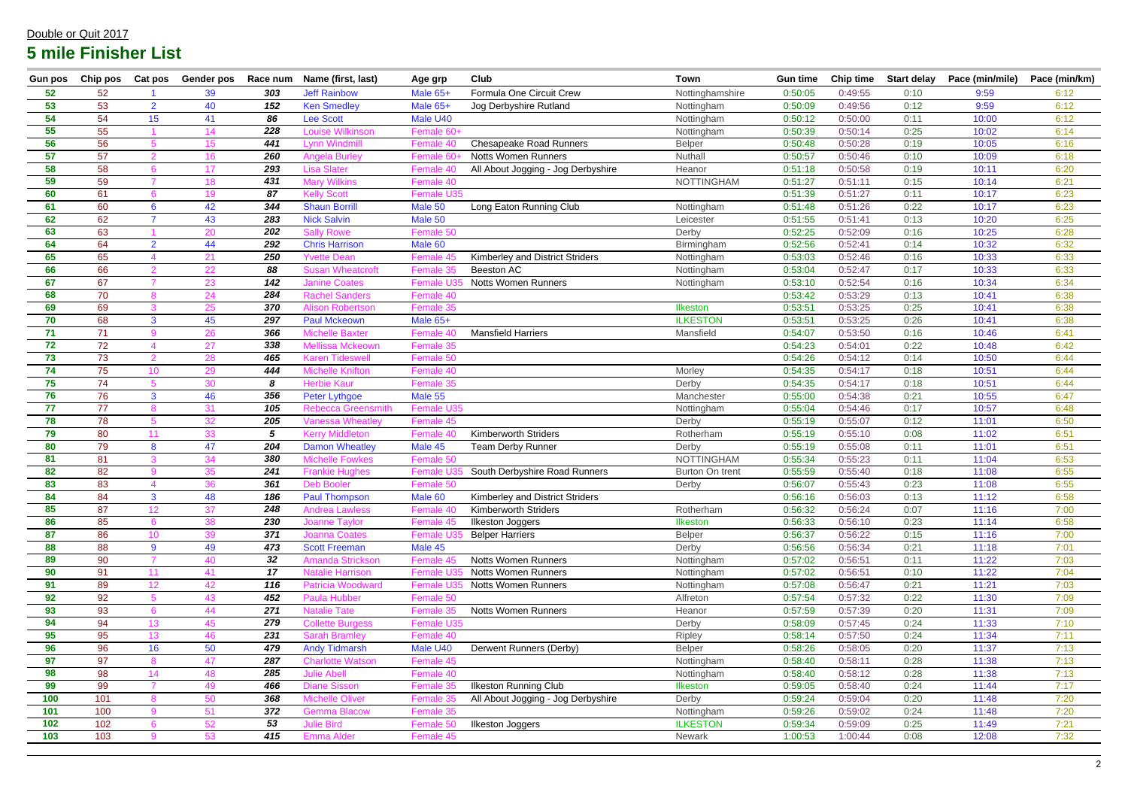| <b>Gun pos</b> | Chip pos | Cat pos         | Gender pos | Race num   | Name (first, last)        | Age grp         | Club                                   | <b>Town</b>            | <b>Gun time</b> | <b>Chip time</b> | <b>Start delay</b> | Pace (min/mile) | Pace (min/km) |
|----------------|----------|-----------------|------------|------------|---------------------------|-----------------|----------------------------------------|------------------------|-----------------|------------------|--------------------|-----------------|---------------|
| 52             | 52       |                 | 39         | 303        | <b>Jeff Rainbow</b>       | Male 65+        | Formula One Circuit Crew               | Nottinghamshire        | 0:50:05         | 0:49:55          | 0:10               | 9:59            | 6:12          |
| 53             | 53       | $\overline{2}$  | 40         | 152        | <b>Ken Smedley</b>        | Male 65+        | Jog Derbyshire Rutland                 | Nottingham             | 0:50:09         | 0:49:56          | 0:12               | 9:59            | 6:12          |
| 54             | 54       | 15              | 41         | 86         | <b>Lee Scott</b>          | Male U40        |                                        | Nottingham             | 0:50:12         | 0:50:00          | 0:11               | 10:00           | 6:12          |
| 55             | 55       |                 | 14         | 228        | <b>Louise Wilkinson</b>   | Female 60+      |                                        | Nottingham             | 0:50:39         | 0:50:14          | 0:25               | 10:02           | 6:14          |
| 56             | 56       |                 | 15         | 441        | <b>Lynn Windmill</b>      | Female 40       | <b>Chesapeake Road Runners</b>         | <b>Belper</b>          | 0:50:48         | 0:50:28          | 0:19               | 10:05           | 6:16          |
| 57             | 57       |                 | 16         | 260        | <b>Angela Burley</b>      | Female 60       | <b>Notts Women Runners</b>             | Nuthall                | 0:50:57         | 0:50:46          | 0:10               | 10:09           | 6:18          |
| 58             | 58       |                 | 17         | 293        | <b>Lisa Slater</b>        | Female 40       | All About Jogging - Jog Derbyshire     | Heanor                 | 0:51:18         | 0:50:58          | 0:19               | 10:11           | 6:20          |
| 59             | 59       |                 | 18         | 431        | <b>Mary Wilkins</b>       | Female 40       |                                        | <b>NOTTINGHAM</b>      | 0:51:27         | 0:51:11          | 0:15               | 10:14           | 6:21          |
| 60             | 61       |                 | 19         | 87         | <b>Kelly Scott</b>        | Female U35      |                                        |                        | 0:51:39         | 0:51:27          | 0:11               | 10:17           | 6:23          |
| 61             | 60       | $6^{\circ}$     | 42         | 344        | <b>Shaun Borrill</b>      | Male 50         | Long Eaton Running Club                | Nottingham             | 0:51:48         | 0:51:26          | 0:22               | 10:17           | 6:23          |
| 62             | 62       |                 | 43         | 283        | <b>Nick Salvin</b>        | Male 50         |                                        | Leicester              | 0:51:55         | 0:51:41          | 0:13               | 10:20           | 6:25          |
| 63             | 63       |                 | 20         | 202        | <b>Sally Rowe</b>         | Female 50       |                                        | Derby                  | 0:52:25         | 0:52:09          | 0:16               | 10:25           | 6:28          |
| 64             | 64       | $\overline{2}$  | 44         | 292        | <b>Chris Harrison</b>     | Male 60         |                                        | Birmingham             | 0:52:56         | 0:52:41          | 0:14               | 10:32           | 6:32          |
| 65             | 65       |                 | 21         | 250        | <b>Yvette Dean</b>        | Female 45       | <b>Kimberley and District Striders</b> | Nottingham             | 0:53:03         | 0:52:46          | 0:16               | 10:33           | 6:33          |
| 66             | 66       |                 | 22         | 88         | <b>Susan Wheatcroft</b>   | Female 35       | Beeston AC                             | Nottingham             | 0:53:04         | 0:52:47          | 0:17               | 10:33           | 6:33          |
| 67             | 67       |                 | 23         | 142        | <b>Janine Coates</b>      | Female U3       | <b>Notts Women Runners</b>             | Nottingham             | 0:53:10         | 0:52:54          | 0:16               | 10:34           | 6:34          |
| 68             | 70       |                 | 24         | 284        | <b>Rachel Sanders</b>     | Female 40       |                                        |                        | 0:53:42         | 0:53:29          | 0:13               | 10:41           | 6:38          |
| 69             | 69       |                 | 25         | 370        | <b>Alison Robertson</b>   | Female 35       |                                        | <b>Ilkeston</b>        | 0:53:51         | 0:53:25          | 0:25               | 10:41           | 6:38          |
| 70             | 68       | 3               | 45         | 297        | <b>Paul Mckeown</b>       | Male 65+        |                                        | <b>ILKESTON</b>        | 0:53:51         | 0:53:25          | 0:26               | 10:41           | 6:38          |
| 71             | 71       | 9               | 26         | 366        | <b>Michelle Baxter</b>    | Female 40       | <b>Mansfield Harriers</b>              | Mansfield              | 0:54:07         | 0:53:50          | 0:16               | 10:46           | 6:41          |
| 72             | 72       |                 | 27         | 338        | <b>Mellissa Mckeown</b>   | Female 35       |                                        |                        | 0:54:23         | 0:54:01          | 0:22               | 10:48           | 6:42          |
| 73             | 73       | $\mathcal{P}$   | 28         | 465        | <b>Karen Tideswell</b>    | Female 50       |                                        |                        | 0:54:26         | 0:54:12          | 0:14               | 10:50           | 6:44          |
| 74             | 75       | 10 <sup>°</sup> | 29         | 444        | <b>Michelle Knifton</b>   | Female 40       |                                        | Morley                 | 0:54:35         | 0:54:17          | 0:18               | 10:51           | 6:44          |
| 75             | 74       |                 | 30         | 8          | <b>Herbie Kaur</b>        | Female 35       |                                        | Derby                  | 0:54:35         | 0:54:17          | 0:18               | 10:51           | 6:44          |
| 76             | 76       | 3 <sup>1</sup>  | 46         | 356        | Peter Lythgoe             | Male 55         |                                        | Manchester             | 0:55:00         | 0:54:38          | 0:21               | 10:55           | 6:47          |
| 77             | 77       |                 | 31         | 105        | <b>Rebecca Greensmith</b> | Female U35      |                                        | Nottingham             | 0:55:04         | 0:54:46          | 0:17               | 10:57           | 6:48          |
| 78             | 78       |                 | 32         | 205        | <b>Vanessa Wheatley</b>   | Female 45       |                                        | Derby                  | 0:55:19         | 0:55:07          | 0:12               | 11:01           | 6:50          |
| 79             | 80       | 11              | 33         | $\sqrt{5}$ | <b>Kerry Middleton</b>    | Female 40       | <b>Kimberworth Striders</b>            | Rotherham              | 0:55:19         | 0:55:10          | 0:08               | 11:02           | 6:51          |
| 80             | 79       | 8               | 47         | 204        | <b>Damon Wheatley</b>     | Male 45         | <b>Team Derby Runner</b>               | Derby                  | 0:55:19         | 0:55:08          | 0:11               | 11:01           | 6:51          |
| 81             | 81       | 3               | 34         | 380        | <b>Michelle Fowkes</b>    | Female 50       |                                        | <b>NOTTINGHAM</b>      | 0:55:34         | 0:55:23          | 0:11               | 11:04           | 6:53          |
| 82             | 82       | $\Omega$        | 35         | 241        | <b>Frankie Hughes</b>     | <b>Female U</b> | South Derbyshire Road Runners          | <b>Burton On trent</b> | 0:55:59         | 0:55:40          | 0:18               | 11:08           | 6:55          |
| 83             | 83       |                 | 36         | 361        | <b>Deb Booler</b>         | Female 50       |                                        | Derby                  | 0:56:07         | 0:55:43          | 0:23               | 11:08           | 6:55          |
| 84             | 84       | J.              | 48         | 186        | <b>Paul Thompson</b>      | Male 60         | <b>Kimberley and District Striders</b> |                        | 0:56:16         | 0:56:03          | 0:13               | 11:12           | 6:58          |
| 85             | 87       | 12 <sub>2</sub> | 37         | 248        | <b>Andrea Lawless</b>     | Female 40       | <b>Kimberworth Striders</b>            | Rotherham              | 0:56:32         | 0:56:24          | 0:07               | 11:16           | 7:00          |
| 86             | 85       | 6               | 38         | 230        | <b>Joanne Taylor</b>      | Female 45       | <b>Ilkeston Joggers</b>                | <b>Ilkeston</b>        | 0:56:33         | 0:56:10          | 0:23               | 11:14           | 6:58          |
| 87             | 86       | 10 <sup>°</sup> | 39         | 371        | <b>Joanna Coates</b>      | Female U3       | <b>Belper Harriers</b>                 | <b>Belper</b>          | 0:56:37         | 0:56:22          | 0:15               | 11:16           | 7:00          |
| 88             | 88       | 9               | 49         | 473        | <b>Scott Freeman</b>      | Male 45         |                                        | Derby                  | 0:56:56         | 0:56:34          | 0:21               | 11:18           | 7:01          |
| 89             | 90       |                 | 40         | 32         | Amanda Strickson          | Female 45       | <b>Notts Women Runners</b>             | Nottingham             | 0:57:02         | 0:56:51          | 0:11               | 11:22           | 7:03          |
| 90             | 91       | 11              | 41         | 17         | <b>Natalie Harrison</b>   | Female U3       | <b>Notts Women Runners</b>             | Nottingham             | 0:57:02         | 0:56:51          | 0:10               | 11:22           | 7:04          |
| 91             | 89       | 12 <sup>2</sup> | 42         | 116        | Patricia Woodward         | Female U        | <b>Notts Women Runners</b>             | Nottingham             | 0:57:08         | 0:56:47          | 0:21               | 11:21           | 7:03          |
| 92             | 92       |                 | 43         | 452        | <b>Paula Hubber</b>       | Female 50       |                                        | Alfreton               | 0:57:54         | 0:57:32          | 0:22               | 11:30           | 7:09          |
| 93             | 93       |                 | 44         | 271        | <b>Natalie Tate</b>       | Female 35       | Notts Women Runners                    | Heanor                 | 0:57:59         | 0:57:39          | 0:20               | 11:31           | 7:09          |
| 94             | 94       | 13              | 45         | 279        | <b>Collette Burgess</b>   | Female U35      |                                        | Derby                  | 0:58:09         | 0:57:45          | 0:24               | 11:33           | 7:10          |
| 95             | 95       | 13              | 46         | 231        | <b>Sarah Bramley</b>      | Female 40       |                                        | Ripley                 | 0:58:14         | 0:57:50          | 0:24               | 11:34           | 7:11          |
| 96             | 96       | 16              | 50         | 479        | <b>Andy Tidmarsh</b>      | Male U40        | Derwent Runners (Derby)                | <b>Belper</b>          | 0:58:26         | 0:58:05          | 0:20               | 11:37           | 7:13          |
| 97             | 97       | 8               | 47         | 287        | <b>Charlotte Watson</b>   | Female 45       |                                        | Nottingham             | 0:58:40         | 0:58:11          | 0:28               | 11:38           | 7:13          |
| 98             | 98       | 14              | 48         | 285        | <b>Julie Abell</b>        | Female 40       |                                        | Nottingham             | 0:58:40         | 0:58:12          | 0:28               | 11:38           | 7:13          |
| 99             | 99       |                 | 49         | 466        | <b>Diane Sisson</b>       | Female 35       | <b>Ilkeston Running Club</b>           | <b>Ilkeston</b>        | 0:59:05         | 0:58:40          | 0:24               | 11:44           | 7:17          |
| 100            | 101      | <sub>R</sub>    | 50         | 368        | <b>Michelle Oliver</b>    | Female 35       | All About Jogging - Jog Derbyshire     | Derby                  | 0:59:24         | 0:59:04          | 0:20               | 11:48           | 7:20          |
| 101            | 100      | $\mathbf{Q}$    | 51         | 372        | <b>Gemma Blacow</b>       | Female 35       |                                        | Nottingham             | 0:59:26         | 0:59:02          | 0:24               | 11:48           | 7:20          |
| 102            | 102      |                 | 52         | 53         | <b>Julie Bird</b>         | Female 50       | <b>Ilkeston Joggers</b>                | <b>ILKESTON</b>        | 0:59:34         | 0:59:09          | 0:25               | 11:49           | 7:21          |
| 103            | 103      | 9               | 53         | 415        | <b>Emma Alder</b>         | Female 45       |                                        | Newark                 | 1:00:53         | 1:00:44          | 0:08               | 12:08           | 7:32          |

#### Double or Quit 2017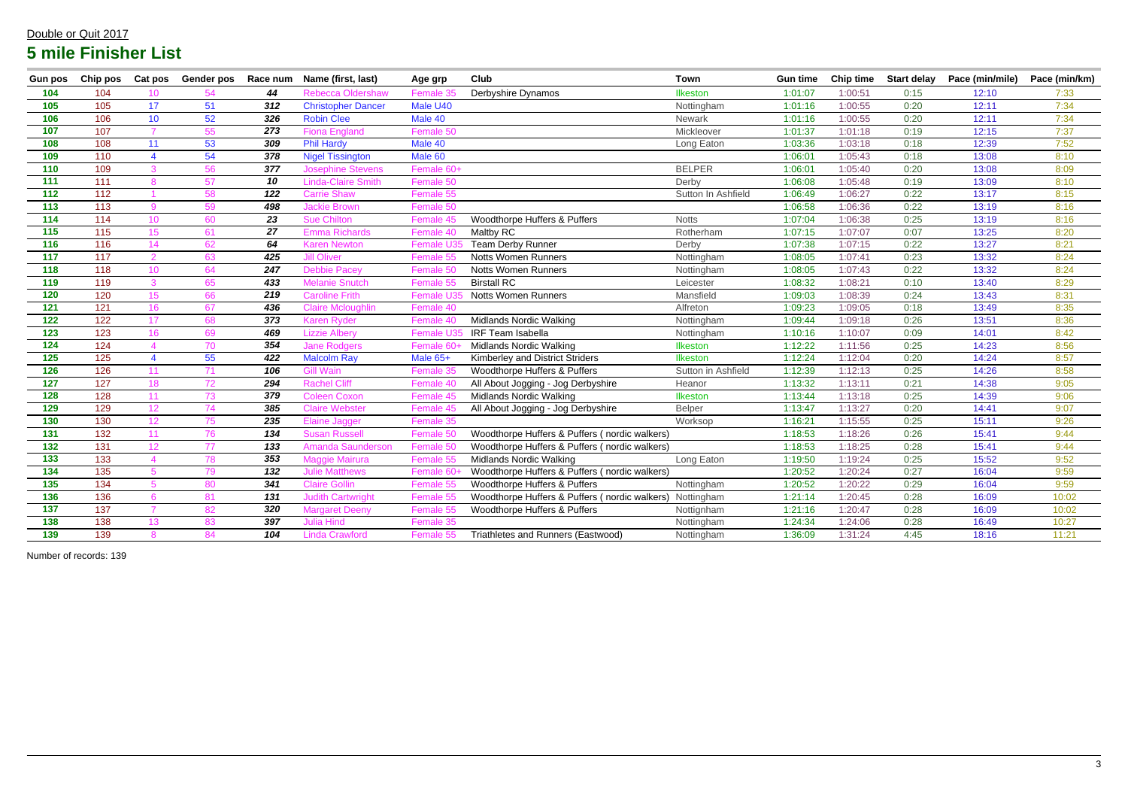| <b>Gun pos</b>    | Chip pos         | <b>Cat pos</b>  |    |     | Gender pos Race num Name (first, last) | Age grp          | Club                                          | <b>Town</b>        | <b>Gun time</b> | <b>Chip time</b> |      | Start delay Pace (min/mile) | Pace (min/km) |
|-------------------|------------------|-----------------|----|-----|----------------------------------------|------------------|-----------------------------------------------|--------------------|-----------------|------------------|------|-----------------------------|---------------|
| 104               | 104              | 10 <sup>°</sup> | 54 | 44  | <b>Rebecca Oldershaw</b>               | Female 35        | Derbyshire Dynamos                            | Ilkeston           | 1:01:07         | 1:00:51          | 0:15 | 12:10                       | 7:33          |
| 105               | 105              | 17              | 51 | 312 | <b>Christopher Dancer</b>              | Male U40         |                                               | Nottingham         | 1:01:16         | 1:00:55          | 0:20 | 12:11                       | 7:34          |
| 106               | 106              | 10              | 52 | 326 | <b>Robin Clee</b>                      | Male 40          |                                               | Newark             | 1:01:16         | 1:00:55          | 0:20 | 12:11                       | 7:34          |
| 107               | 107              | $\overline{7}$  | 55 | 273 | <b>Fiona England</b>                   | Female 50        |                                               | Mickleover         | 1:01:37         | 1:01:18          | 0:19 | 12:15                       | 7:37          |
| 108               | 108              | 11              | 53 | 309 | <b>Phil Hardy</b>                      | Male 40          |                                               | Long Eaton         | 1:03:36         | 1:03:18          | 0:18 | 12:39                       | 7:52          |
| 109               | 110              | $\overline{4}$  | 54 | 378 | <b>Nigel Tissington</b>                | Male 60          |                                               |                    | 1:06:01         | 1:05:43          | 0:18 | 13:08                       | 8:10          |
| 110               | 109              | 3               | 56 | 377 | <b>Josephine Stevens</b>               | Female 60+       |                                               | <b>BELPER</b>      | 1:06:01         | 1:05:40          | 0:20 | 13:08                       | 8:09          |
| 111               | $\overline{111}$ | 8               | 57 | 10  | <b>Linda-Claire Smith</b>              | Female 50        |                                               | Derby              | 1:06:08         | 1:05:48          | 0:19 | 13:09                       | 8:10          |
| 112               | 112              |                 | 58 | 122 | <b>Carrie Shaw</b>                     | Female 55        |                                               | Sutton In Ashfield | 1:06:49         | 1:06:27          | 0:22 | 13:17                       | 8:15          |
| 113               | 113              | 9               | 59 | 498 | <b>Jackie Brown</b>                    | Female 50        |                                               |                    | 1:06:58         | 1:06:36          | 0:22 | 13:19                       | 8:16          |
| 114               | 114              | 10              | 60 | 23  | <b>Sue Chilton</b>                     | Female 45        | Woodthorpe Huffers & Puffers                  | <b>Notts</b>       | 1:07:04         | 1:06:38          | 0:25 | 13:19                       | 8:16          |
| 115               | 115              | 15              | 61 | 27  | <b>Emma Richards</b>                   | Female 40        | Maltby RC                                     | Rotherham          | 1:07:15         | 1:07:07          | 0:07 | 13:25                       | 8:20          |
| $\frac{116}{116}$ | 116              | 14              | 62 | 64  | <b>Karen Newton</b>                    | <b>Female U3</b> | <b>Team Derby Runner</b>                      | Derby              | 1:07:38         | 1:07:15          | 0:22 | 13:27                       | 8:21          |
| 117               | 117              | $\overline{2}$  | 63 | 425 | <b>Jill Oliver</b>                     | Female 55        | <b>Notts Women Runners</b>                    | Nottingham         | 1:08:05         | 1:07:41          | 0:23 | 13:32                       | 8:24          |
| 118               | 118              | 10              | 64 | 247 | <b>Debbie Pacey</b>                    | Female 50        | <b>Notts Women Runners</b>                    | Nottingham         | 1:08:05         | 1:07:43          | 0:22 | 13:32                       | 8:24          |
| 119               | 119              | $\mathbf{3}$    | 65 | 433 | <b>Melanie Snutch</b>                  | Female 55        | <b>Birstall RC</b>                            | Leicester          | 1:08:32         | 1:08:21          | 0:10 | 13:40                       | 8:29          |
| 120               | 120              | 15              | 66 | 219 | <b>Caroline Frith</b>                  | <b>Female U3</b> | <b>Notts Women Runners</b>                    | Mansfield          | 1:09:03         | 1:08:39          | 0:24 | 13:43                       | 8:31          |
| 121               | 121              | 16              | 67 | 436 | <b>Claire Mcloughlin</b>               | Female 40        |                                               | Alfreton           | 1:09:23         | 1:09:05          | 0:18 | 13:49                       | 8:35          |
| 122               | 122              | 17              | 68 | 373 | <b>Karen Ryder</b>                     | Female 40        | <b>Midlands Nordic Walking</b>                | Nottingham         | 1:09:44         | 1:09:18          | 0:26 | 13:51                       | 8:36          |
| 123               | 123              | 16              | 69 | 469 | <b>Lizzie Albery</b>                   | Female U.        | <b>IRF Team Isabella</b>                      | Nottingham         | 1:10:16         | 1:10:07          | 0:09 | 14:01                       | 8:42          |
| 124               | 124              | $\overline{4}$  | 70 | 354 | <b>Jane Rodgers</b>                    | Female 60        | <b>Midlands Nordic Walking</b>                | Ilkeston           | 1:12:22         | 1:11:56          | 0:25 | 14:23                       | 8:56          |
| $\overline{125}$  | $\overline{125}$ | $\overline{4}$  | 55 | 422 | <b>Malcolm Ray</b>                     | Male 65+         | Kimberley and District Striders               | <b>Ilkeston</b>    | 1:12:24         | 1:12:04          | 0:20 | 14:24                       | 8:57          |
| 126               | 126              | 11              | 71 | 106 | <b>Gill Wain</b>                       | Female 35        | Woodthorpe Huffers & Puffers                  | Sutton in Ashfield | 1:12:39         | 1:12:13          | 0:25 | 14:26                       | 8:58          |
| $\overline{127}$  | 127              | 18              | 72 | 294 | <b>Rachel Cliff</b>                    | Female 40        | All About Jogging - Jog Derbyshire            | Heanor             | 1:13:32         | 1:13:11          | 0:21 | 14:38                       | 9:05          |
| 128               | 128              | 11              | 73 | 379 | <b>Coleen Coxon</b>                    | Female 45        | <b>Midlands Nordic Walking</b>                | <b>Ilkeston</b>    | 1:13:44         | 1:13:18          | 0:25 | 14:39                       | 9:06          |
| 129               | 129              | 12              | 74 | 385 | <b>Claire Webster</b>                  | Female 45        | All About Jogging - Jog Derbyshire            | <b>Belper</b>      | 1:13:47         | 1:13:27          | 0:20 | 14:41                       | 9:07          |
| 130               | 130              | 12              | 75 | 235 | <b>Elaine Jagger</b>                   | Female 35        |                                               | Worksop            | 1:16:21         | 1:15:55          | 0:25 | 15:11                       | 9:26          |
| $\boxed{131}$     | $\overline{132}$ | 11              | 76 | 134 | <b>Susan Russell</b>                   | Female 50        | Woodthorpe Huffers & Puffers (nordic walkers) |                    | 1:18:53         | 1:18:26          | 0:26 | 15:41                       | 9:44          |
| 132               | 131              | 12              | 77 | 133 | <b>Amanda Saunderson</b>               | Female 50        | Woodthorpe Huffers & Puffers (nordic walkers) |                    | 1:18:53         | 1:18:25          | 0:28 | 15:41                       | 9:44          |
| 133               | $\overline{133}$ | $\overline{4}$  | 78 | 353 | <b>Maggie Mairura</b>                  | Female 55        | <b>Midlands Nordic Walking</b>                | Long Eaton         | 1:19:50         | 1:19:24          | 0:25 | 15:52                       | 9:52          |
| $\overline{134}$  | 135              | $5\overline{)}$ | 79 | 132 | <b>Julie Matthews</b>                  | Female 60        | Woodthorpe Huffers & Puffers (nordic walkers) |                    | 1:20:52         | 1:20:24          | 0:27 | 16:04                       | 9:59          |
| $\overline{135}$  | 134              | $5\overline{)}$ | 80 | 341 | <b>Claire Gollin</b>                   | Female 55        | Woodthorpe Huffers & Puffers                  | Nottingham         | 1:20:52         | 1:20:22          | 0:29 | 16:04                       | 9:59          |
| $\overline{136}$  | 136              | 6               | 81 | 131 | <b>Judith Cartwright</b>               | Female 55        | Woodthorpe Huffers & Puffers (nordic walkers) | Nottingham         | 1:21:14         | 1:20:45          | 0:28 | 16:09                       | 10:02         |
| $\overline{137}$  | $\overline{137}$ |                 | 82 | 320 | <b>Margaret Deeny</b>                  | Female 55        | Woodthorpe Huffers & Puffers                  | Nottignham         | 1:21:16         | 1:20:47          | 0:28 | 16:09                       | 10:02         |
| $\overline{138}$  | 138              | 13              | 83 | 397 | <b>Julia Hind</b>                      | Female 35        |                                               | Nottingham         | 1:24:34         | 1:24:06          | 0:28 | 16:49                       | 10:27         |
| 139               | 139              | 8               | 84 | 104 | <b>Linda Crawford</b>                  | Female 55        | Triathletes and Runners (Eastwood)            | Nottingham         | 1:36:09         | 1:31:24          | 4:45 | 18:16                       | 11:21         |

Number of records: 139

#### Double or Quit 2017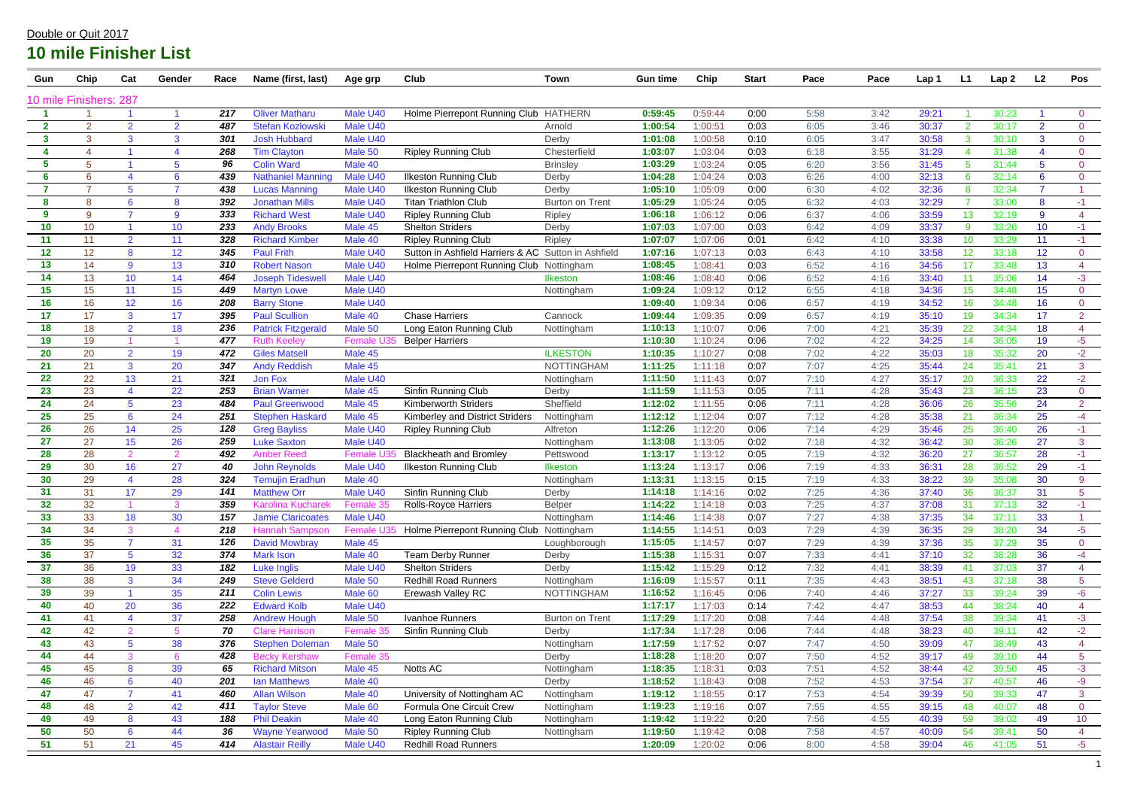| Gun                    | Chip           | Cat                     | Gender         | Race       | Name (first, last)                      | Age grp             | Club                                                | Town                   | <b>Gun time</b>    | Chip               | <b>Start</b> | Pace         | Pace         | Lap 1          | L1       | Lap2           | L2             | Pos                    |
|------------------------|----------------|-------------------------|----------------|------------|-----------------------------------------|---------------------|-----------------------------------------------------|------------------------|--------------------|--------------------|--------------|--------------|--------------|----------------|----------|----------------|----------------|------------------------|
| 10 mile Finishers: 287 |                |                         |                |            |                                         |                     |                                                     |                        |                    |                    |              |              |              |                |          |                |                |                        |
|                        |                |                         |                | 217        | <b>Oliver Matharu</b>                   | Male U40            | Holme Pierrepont Running Club                       | <b>HATHERN</b>         | 0:59:45            | 0:59:44            | 0:00         | 5:58         | 3:42         | 29:21          |          | 30:23          |                | $\overline{0}$         |
| $\mathbf{2}$           | $\overline{2}$ | $\overline{2}$          | $\overline{2}$ | 487        | <b>Stefan Kozlowski</b>                 | Male U40            |                                                     | Arnold                 | 1:00:54            | 1:00:51            | 0:03         | 6:05         | 3:46         | 30:37          | 2        | 30:17          | $\overline{2}$ | $\overline{0}$         |
| $\mathbf{3}$           | 3              | 3                       | 3              | 301        | <b>Josh Hubbard</b>                     | Male U40            |                                                     | Derby                  | 1:01:08            | 1:00:58            | 0:10         | 6:05         | 3:47         | 30:58          | 3        | 30:10          | 3              | $\mathbf{0}$           |
|                        |                |                         |                | 268        | <b>Tim Clayton</b>                      | Male 50             | <b>Ripley Running Club</b>                          | Chesterfield           | 1:03:07            | 1:03:04            | 0:03         | 6:18         | 3:55         | 31:29          |          | 31:38          |                | $\overline{0}$         |
| 5                      | 5              |                         | 5              | 96         | <b>Colin Ward</b>                       | Male 40             |                                                     | <b>Brinsley</b>        | 1:03:29            | 1:03:24            | 0:05         | 6:20         | 3:56         | 31:45          | 5        | 31:44          | -5             | $\overline{0}$         |
| 6                      | 6              |                         | 6              | 439        | <b>Nathaniel Manning</b>                | Male U40            | <b>Ilkeston Running Club</b>                        | Derby                  | 1:04:28            | 1:04:24            | 0:03         | 6:26         | 4:00         | 32:13          | 6        | 32:14          | -6             | $\overline{0}$         |
|                        |                | 5                       |                | 438        | <b>Lucas Manning</b>                    | Male U40            | <b>Ilkeston Running Club</b>                        | Derby                  | 1:05:10            | 1:05:09            | 0:00         | 6:30         | 4:02         | 32:36          | 8        | 32:34          | $\overline{7}$ |                        |
| 8                      | 8              | 6                       | 8              | 392        | <b>Jonathan Mills</b>                   | Male U40            | <b>Titan Triathlon Club</b>                         | <b>Burton on Trent</b> | 1:05:29            | 1:05:24            | 0:05         | 6:32         | 4:03         | 32:29          |          | 33:00          | -8             | $-1$                   |
| 9                      | 9              |                         | 9              | 333        | <b>Richard West</b>                     | Male U40            | <b>Ripley Running Club</b>                          | Ripley                 | 1:06:18            | 1:06:12            | 0:06         | 6:37         | 4:06         | 33:59          | 13       | 32:19          | 9              | 4                      |
| 10                     | 10             |                         | 10             | 233        | <b>Andy Brooks</b>                      | Male 45             | <b>Shelton Striders</b>                             | Derby                  | 1:07:03            | 1:07:00            | 0:03         | 6:42         | 4:09         | 33:37          | 9        | 33:26          | 10             | $-1$                   |
| 11                     | 11             | $\overline{2}$          | 11             | 328        | <b>Richard Kimber</b>                   | Male 40             | <b>Ripley Running Club</b>                          | Ripley                 | 1:07:07            | 1:07:06            | 0:01         | 6:42         | 4:10         | 33:38          | 10       | 33:29          | 11             | $-1$                   |
| 12                     | 12             | 8                       | 12             | 345        | <b>Paul Frith</b>                       | Male U40            | Sutton in Ashfield Harriers & AC Sutton in Ashfield |                        | 1:07:16            | 1:07:13            | 0:03         | 6:43         | 4:10         | 33:58          | 12       | 33:18          | 12             | $\overline{0}$         |
| 13                     | 14             | 9                       | 13             | 310        | <b>Robert Nason</b>                     | Male U40            | Holme Pierrepont Running Club Nottingham            |                        | 1:08:45            | 1:08:41            | 0:03         | 6:52         | 4:16         | 34:56          | 17       | 33:48          | 13             | $\overline{4}$         |
| 14                     | 13             | 10                      | 14             | 464        | <b>Joseph Tideswel</b>                  | Male U40            |                                                     | Ilkeston               | 1:08:46            | 1:08:40            | 0:06         | 6:52         | 4:16         | 33:40          | 11       | 35:06          | 14             | $-3$                   |
| 15                     | 15             | 11                      | 15             | 449        | <b>Martyn Lowe</b>                      | Male U40            |                                                     | Nottingham             | 1:09:24            | 1:09:12            | 0:12         | 6:55         | 4:18         | 34:36          | 15       | 34:48          | 15             | $\overline{0}$         |
| 16                     | 16             | 12                      | 16             | 208        | <b>Barry Stone</b>                      | Male U40            |                                                     |                        | 1:09:40            | 1:09:34            | 0:06         | 6:57         | 4:19         | 34:52          | 16       | 34:48          | 16             | $\overline{0}$         |
| 17                     | 17             | 3                       | 17             | 395        | <b>Paul Scullion</b>                    | Male 40             | <b>Chase Harriers</b>                               | Cannock                | 1:09:44            | 1:09:35            | 0:09         | 6:57         | 4:19         | 35:10          | 19       | 34:34          | 17             | 2                      |
| 18                     | 18             | $\overline{2}$          | 18             | 236        | <b>Patrick Fitzgerald</b>               | Male 50             | Long Eaton Running Club                             | Nottingham             | 1:10:13            | 1:10:07            | 0:06         | 7:00         | 4:21         | 35:39          | 22       | 34:34          | 18             | $\overline{4}$         |
| 19                     | 19             |                         |                | 477        | <b>Ruth Keeley</b>                      | Female              | <b>Belper Harriers</b>                              |                        | 1:10:30            | 1:10:24            | 0:06         | 7:02         | 4:22         | 34:25          | 14       | 36:05          | 19             | $-5$                   |
| 20                     | 20             | $\overline{2}$          | 19             | 472        | <b>Giles Matsell</b>                    | Male 45             |                                                     | <b>ILKESTON</b>        | 1:10:35            | 1:10:27            | 0:08         | 7:02         | 4:22         | 35:03          | 18       | 35:32          | 20             | $-2$                   |
| 21                     | 21             | 3                       | 20             | 347        | <b>Andy Reddish</b>                     | Male 45             |                                                     | <b>NOTTINGHAM</b>      | 1:11:25            | 1:11:18            | 0:07         | 7:07         | 4:25         | 35:44          | 24       | 35:41          | 21             | $\mathbf{3}$           |
| 22                     | 22             | 13                      | 21             | 321        | <b>Jon Fox</b>                          | Male U40            |                                                     | Nottingham             | 1:11:50            | 1:11:43            | 0:07         | 7:10         | 4:27         | 35:17          | 20       | 36:33          | 22             | $-2$                   |
| 23                     | 23             | $\overline{\mathbf{4}}$ | 22             | 253        | <b>Brian Warner</b>                     | Male 45             | Sinfin Running Club                                 | Derby                  | 1:11:59            | 1:11:53            | 0:05         | 7:11         | 4:28         | 35:43          | 23       | 36:15          | 23             | $\overline{0}$         |
| 24                     | 24             | 5                       | 23             | 484        | <b>Paul Greenwood</b>                   | Male 45             | <b>Kimberworth Striders</b>                         | Sheffield              | 1:12:02            | 1:11:55            | 0:06         | 7:11         | 4:28         | 36:06          | 26       | 35:56          | 24             | 2                      |
| 25                     | 25             | 6                       | 24             | 251        | <b>Stephen Haskard</b>                  | Male 45             | Kimberley and District Striders                     | Nottingham             | 1:12:12            | 1:12:04            | 0:07         | 7:12         | 4:28         | 35:38          | 21       | 36:34          | 25             | $-4$                   |
| 26                     | 26             | 14                      | 25             | 128        | <b>Greg Bayliss</b>                     | Male U40            | <b>Ripley Running Club</b>                          | Alfreton               | 1:12:26            | 1:12:20            | 0:06         | 7:14         | 4:29         | 35:46          | 25       | 36:40          | 26             | $-1$                   |
| 27                     | 27             | 15                      | 26<br>2        | 259<br>492 | <b>Luke Saxton</b>                      | Male U40            | <b>Blackheath and Bromley</b>                       | Nottingham             | 1:13:08            | 1:13:05            | 0:02         | 7:18<br>7:19 | 4:32         | 36:42          | 30       | 36:26          | 27             | $\mathbf{3}$           |
| 28                     | 28             | $\overline{2}$          |                |            | Amber Reed                              | Female              |                                                     | Pettswood              | 1:13:17<br>1:13:24 | 1:13:12<br>1:13:17 | 0:05         |              | 4:32         | 36:20          | 27       | 36:57          | 28             | $-1$                   |
| 29                     | 30<br>29       | 16                      | 27<br>28       | 40<br>324  | <b>John Reynolds</b>                    | Male U40<br>Male 40 | <b>Ilkeston Running Club</b>                        | Ilkeston<br>Nottingham | 1:13:31            | 1:13:15            | 0:06<br>0:15 | 7:19<br>7:19 | 4:33<br>4:33 | 36:31<br>38:22 | 28<br>39 | 36:52          | 29<br>30       | $-1$<br>$\overline{9}$ |
| 30<br>31               |                |                         |                | 141        | <b>Temujin Eradhun</b>                  | Male U40            | Sinfin Running Club                                 |                        | 1:14:18            | 1:14:16            | 0:02         | 7:25         | 4:36         |                |          | 35:08          | 31             | 5                      |
| 32                     | 31<br>32       | 17                      | 29<br>3        | 359        | <b>Matthew Orr</b><br>Karolina Kucharel | Female 3            | <b>Rolls-Royce Harriers</b>                         | Derby<br><b>Belper</b> | 1:14:22            | 1:14:18            | 0:03         | 7:25         | 4:37         | 37:40<br>37:08 | 36<br>31 | 36:37<br>37:13 | 32             | $-1$                   |
| 33                     | 33             | 18                      | 30             | 157        | <b>Jamie Claricoates</b>                | Male U40            |                                                     | Nottingham             | 1:14:46            | 1:14:38            | 0:07         | 7:27         | 4:38         | 37:35          | 34       | 37:11          | 33             |                        |
| 34                     | 34             | $\mathbf{3}$            |                | 218        | <b>Hannah Sampsor</b>                   | Female L            | Holme Pierrepont Running Club Nottingham            |                        | 1:14:55            | 1:14:51            | 0:03         | 7:29         | 4:39         | 36:35          | 29       | 38:20          | 34             | $-5$                   |
| 35                     | 35             | $\overline{7}$          | 31             | 126        | <b>David Mowbray</b>                    | Male 45             |                                                     | Loughborough           | 1:15:05            | 1:14:57            | 0:07         | 7:29         | 4:39         | 37:36          | 35       | 37:29          | 35             | $\overline{0}$         |
| 36                     | 37             | $5\phantom{.0}$         | 32             | 374        | <b>Mark Ison</b>                        | Male 40             | <b>Team Derby Runner</b>                            | Derby                  | 1:15:38            | 1:15:31            | 0:07         | 7:33         | 4:41         | 37:10          | 32       | 38:28          | 36             | $-4$                   |
| 37                     | 36             | 19                      | 33             | 182        | <b>Luke Inglis</b>                      | Male U40            | <b>Shelton Striders</b>                             | Derby                  | 1:15:42            | 1:15:29            | 0:12         | 7:32         | 4:41         | 38:39          | 41       | 37:03          | 37             | $\overline{4}$         |
| 38                     | 38             | $\mathbf{3}$            | 34             | 249        | <b>Steve Gelderd</b>                    | Male 50             | <b>Redhill Road Runners</b>                         | Nottingham             | 1:16:09            | 1:15:57            | 0:11         | 7:35         | 4:43         | 38:51          | 43       | 37:18          | 38             | $\overline{5}$         |
| 39                     | 39             |                         | 35             | 211        | <b>Colin Lewis</b>                      | Male 60             | Erewash Valley RC                                   | <b>NOTTINGHAM</b>      | 1:16:52            | 1:16:45            | 0:06         | 7:40         | 4:46         | 37:27          | 33       | 39:24          | 39             | $-6$                   |
| 40                     | 40             | 20                      | 36             | 222        | <b>Edward Kolb</b>                      | Male U40            |                                                     |                        | 1:17:17            | 1:17:03            | 0:14         | 7:42         | 4:47         | 38:53          | 44       | 38:24          | 40             | $\overline{4}$         |
| 41                     | 41             | 4                       | 37             | 258        | <b>Andrew Hough</b>                     | Male 50             | Ivanhoe Runners                                     | <b>Burton on Trent</b> | 1:17:29            | 1:17:20            | 0:08         | 7:44         | 4:48         | 37:54          | 38       | 39:34          | 41             | $-3$                   |
| 42                     | 42             | $\overline{2}$          | 5              | 70         | <b>Clare Harrison</b>                   | Female 3            | Sinfin Running Club                                 | Derby                  | 1:17:34            | 1:17:28            | 0:06         | 7:44         | 4:48         | 38:23          | 40       | 39:11          | 42             | $-2$                   |
| 43                     | 43             | $5\phantom{.0}$         | 38             | 376        | <b>Stephen Doleman</b>                  | Male 50             |                                                     | Nottingham             | 1:17:59            | 1:17:52            | 0:07         | 7:47         | 4:50         | 39:09          | 47       | 38:49          | 43             | $\overline{4}$         |
| 44                     | 44             | $\mathbf{3}$            | 6              | 428        | <b>Becky Kershaw</b>                    | Female 35           |                                                     | Derby                  | 1:18:28            | 1:18:20            | 0:07         | 7:50         | 4:52         | 39:17          | 49       | 39:10          | 44             | 5 <sup>5</sup>         |
| 45                     | 45             | 8                       | 39             | 65         | <b>Richard Mitson</b>                   | Male 45             | Notts AC                                            | Nottingham             | 1:18:35            | 1:18:31            | 0:03         | 7:51         | 4:52         | 38:44          | 42       | 39:50          | 45             | $-3$                   |
| 46                     | 46             | $6\overline{6}$         | 40             | 201        | <b>Ian Matthews</b>                     | Male 40             |                                                     | Derby                  | 1:18:52            | 1:18:43            | 0:08         | 7:52         | 4:53         | 37:54          | 37       | 40:57          | 46             | $-9$                   |
| 47                     | 47             | $\overline{7}$          | 41             | 460        | <b>Allan Wilson</b>                     | Male 40             | University of Nottingham AC                         | Nottingham             | 1:19:12            | 1:18:55            | 0:17         | 7:53         | 4:54         | 39:39          | 50       | 39:33          | 47             | $\mathbf{3}$           |
| 48                     | 48             | $\overline{2}$          | 42             | 411        | <b>Taylor Steve</b>                     | Male 60             | Formula One Circuit Crew                            | Nottingham             | 1:19:23            | 1:19:16            | 0:07         | 7:55         | 4:55         | 39:15          | 48       | 40:07          | 48             | $\overline{0}$         |
| 49                     | 49             | $8\phantom{1}$          | 43             | 188        | <b>Phil Deakin</b>                      | Male 40             | Long Eaton Running Club                             | Nottingham             | 1:19:42            | 1:19:22            | 0:20         | 7:56         | 4:55         | 40:39          | 59       | 39:02          | 49             | 10 <sub>1</sub>        |
| 50                     | 50             | $6^{\circ}$             | 44             | 36         | <b>Wayne Yearwood</b>                   | Male 50             | <b>Ripley Running Club</b>                          | Nottingham             | 1:19:50            | 1:19:42            | 0:08         | 7:58         | 4:57         | 40:09          | 54       | 39:41          | 50             | $\overline{4}$         |
| 51                     | 51             | 21                      | 45             | 414        | <b>Alastair Reilly</b>                  | Male U40            | <b>Redhill Road Runners</b>                         |                        | 1:20:09            | 1:20:02            | 0:06         | 8:00         | 4:58         | 39:04          | 46       | 41:05          | 51             | $-5$                   |
|                        |                |                         |                |            |                                         |                     |                                                     |                        |                    |                    |              |              |              |                |          |                |                |                        |

#### Double or Quit 2017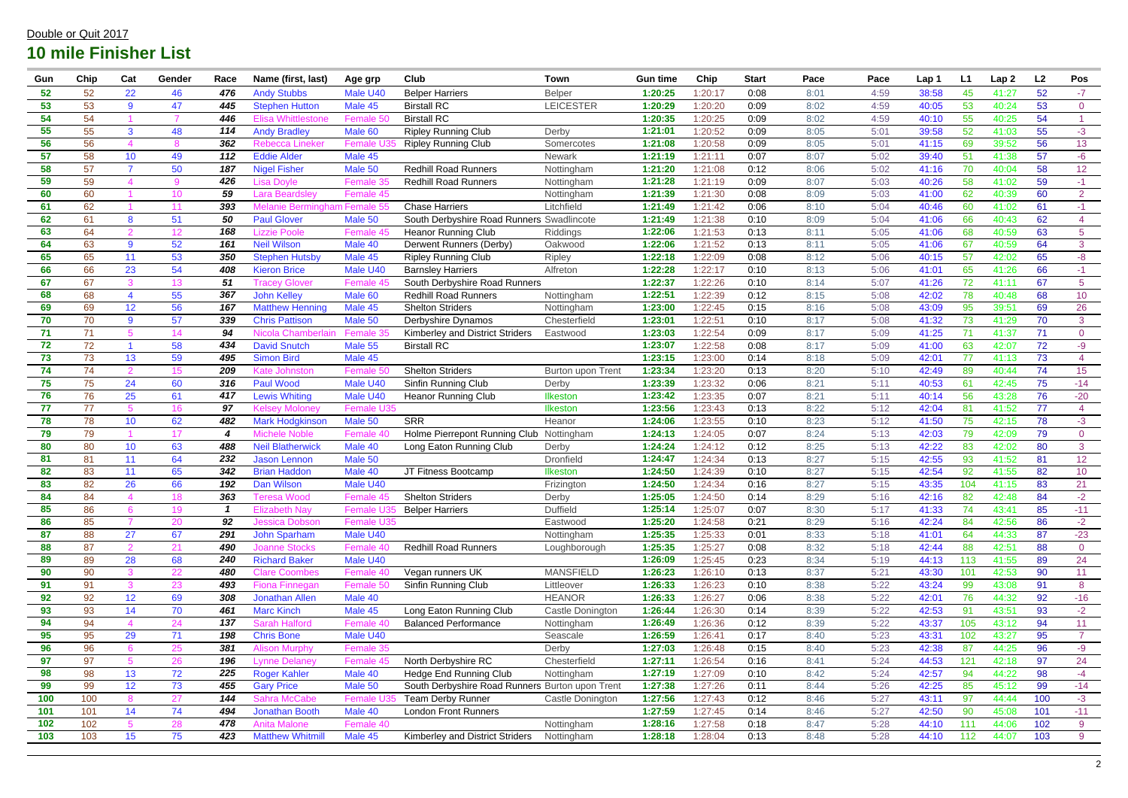| Gun | Chip | Cat             | Gender       | Race                    | Name (first, last)                 | Age grp       | Club                                            | <b>Town</b>       | <b>Gun time</b> | Chip    | <b>Start</b> | Pace | Pace | Lap 1 | L <sub>1</sub> | Lap2  | L2  | Pos             |
|-----|------|-----------------|--------------|-------------------------|------------------------------------|---------------|-------------------------------------------------|-------------------|-----------------|---------|--------------|------|------|-------|----------------|-------|-----|-----------------|
| 52  | 52   | 22              | 46           | 476                     | <b>Andy Stubbs</b>                 | Male U40      | <b>Belper Harriers</b>                          | <b>Belper</b>     | 1:20:25         | 1:20:17 | 0:08         | 8:01 | 4:59 | 38:58 | 45             | 41:27 | 52  | $-7$            |
| 53  | 53   | 9               | 47           | 445                     | <b>Stephen Hutton</b>              | Male 45       | <b>Birstall RC</b>                              | <b>LEICESTER</b>  | 1:20:29         | 1:20:20 | 0:09         | 8:02 | 4:59 | 40:05 | 53             | 40:24 | 53  | $\overline{0}$  |
| 54  | 54   |                 |              | 446                     | Elisa Whittleston                  | Female 5      | <b>Birstall RC</b>                              |                   | 1:20:35         | 1:20:25 | 0:09         | 8:02 | 4:59 | 40:10 | 55             | 40:25 | 54  |                 |
| 55  | 55   | $\mathbf{3}$    | 48           | 114                     | <b>Andy Bradley</b>                | Male 60       | <b>Ripley Running Club</b>                      | Derby             | 1:21:01         | 1:20:52 | 0:09         | 8:05 | 5:01 | 39:58 | 52             | 41:03 | 55  | $-3$            |
| 56  | 56   |                 | -8           | 362                     | <b>Rebecca Lineker</b>             | Female        | <b>Ripley Running Club</b>                      | Somercotes        | 1:21:08         | 1:20:58 | 0:09         | 8:05 | 5:01 | 41:15 | 69             | 39:52 | 56  | 13              |
| 57  | 58   | 10 <sup>°</sup> | 49           | 112                     | <b>Eddie Alder</b>                 | Male 45       |                                                 | Newark            | 1:21:19         | 1:21:11 | 0:07         | 8:07 | 5:02 | 39:40 | 51             | 41:38 | 57  | $-6$            |
| 58  | 57   | $\overline{7}$  | 50           | 187                     | <b>Nigel Fisher</b>                | Male 50       | <b>Redhill Road Runners</b>                     | Nottingham        | 1:21:20         | 1:21:08 | 0:12         | 8:06 | 5:02 | 41:16 | 70             | 40:04 | 58  | 12 <sub>2</sub> |
| 59  | 59   |                 | $\mathbf{Q}$ | 426                     | Lisa Dovle                         | <b>Female</b> | <b>Redhill Road Runners</b>                     | Nottingham        | 1:21:28         | 1:21:19 | 0:09         | 8:07 | 5:03 | 40:26 | 58             | 41:02 | 59  | $-1$            |
| 60  | 60   |                 | 10           | 59                      | Lara Beardsley                     | Female 45     |                                                 | Nottingham        | 1:21:39         | 1:21:30 | 0:08         | 8:09 | 5:03 | 41:00 | 62             | 40:39 | 60  | $\overline{2}$  |
| 61  | 62   |                 |              | 393                     | <u> Melanie Bermingham Female.</u> |               | <b>Chase Harriers</b>                           | Litchfield        | 1:21:49         | 1:21:42 | 0:06         | 8:10 | 5:04 | 40:46 | 60             | 41:02 | 61  | $-1$            |
| 62  | 61   | 8               | 51           | 50                      | <b>Paul Glover</b>                 | Male 50       | South Derbyshire Road Runners Swadlincote       |                   | 1:21:49         | 1:21:38 | 0:10         | 8:09 | 5:04 | 41:06 | 66             | 40:43 | 62  | $\overline{4}$  |
| 63  | 64   | $\overline{2}$  | 12           | 168                     | <b>Lizzie Poole</b>                | Female 4      | <b>Heanor Running Club</b>                      | Riddings          | 1:22:06         | 1:21:53 | 0:13         | 8:11 | 5:05 | 41:06 | 68             | 40:59 | 63  | 5 <sup>5</sup>  |
| 64  | 63   | 9               | 52           | 161                     | <b>Neil Wilson</b>                 | Male 40       | Derwent Runners (Derby)                         | Oakwood           | 1:22:06         | 1:21:52 | 0:13         | 8:11 | 5:05 | 41:06 | 67             | 40:59 | 64  | $\mathbf{3}$    |
| 65  | 65   | 11              | 53           | 350                     | <b>Stephen Hutsby</b>              | Male 45       | <b>Ripley Running Club</b>                      | Ripley            | 1:22:18         | 1:22:09 | 0:08         | 8:12 | 5:06 | 40:15 | 57             | 42:02 | 65  | $-8-$           |
| 66  | 66   | 23              | 54           | 408                     | <b>Kieron Brice</b>                | Male U40      | <b>Barnsley Harriers</b>                        | Alfreton          | 1:22:28         | 1:22:17 | 0:10         | 8:13 | 5:06 | 41:01 | 65             | 41:26 | 66  | $-1$            |
| 67  | 67   | 3               | 13           | 51                      | Tracey Glover                      | Female 4      | South Derbyshire Road Runners                   |                   | 1:22:37         | 1:22:26 | 0:10         | 8:14 | 5:07 | 41:26 | 72             | 41:11 | 67  | $5\phantom{.0}$ |
| 68  | 68   |                 | 55           | 367                     | <b>John Kelley</b>                 | Male 60       | <b>Redhill Road Runners</b>                     | Nottingham        | 1:22:51         | 1:22:39 | 0:12         | 8:15 | 5:08 | 42:02 | 78             | 40:48 | 68  | 10              |
| 69  | 69   | 12              | 56           | 167                     | <b>Matthew Henning</b>             | Male 45       | <b>Shelton Striders</b>                         | Nottingham        | 1:23:00         | 1:22:45 | 0:15         | 8:16 | 5:08 | 43:09 | 95             | 39:51 | 69  | 26              |
| 70  | 70   | 9               | 57           | 339                     | <b>Chris Pattison</b>              | Male 50       | Derbyshire Dynamos                              | Chesterfield      | 1:23:01         | 1:22:51 | 0:10         | 8:17 | 5:08 | 41:32 | 73             | 41:29 | 70  | $\mathbf{3}$    |
| 71  | 71   |                 | 14           | 94                      | Nicola Chamberla                   | Female        | Kimberley and District Striders                 | Eastwood          | 1:23:03         | 1:22:54 | 0:09         | 8:17 | 5:09 | 41:25 | 71             | 41:37 | 71  | $\overline{0}$  |
| 72  | 72   |                 | 58           | 434                     | <b>David Snutch</b>                | Male 55       | <b>Birstall RC</b>                              |                   | 1:23:07         | 1:22:58 | 0:08         | 8:17 | 5:09 | 41:00 | 63             | 42:07 | 72  | $-9$            |
| 73  | 73   | 13              | 59           | 495                     | <b>Simon Bird</b>                  | Male 45       |                                                 |                   | 1:23:15         | 1:23:00 | 0:14         | 8:18 | 5:09 | 42:01 | 77             | 41:13 | 73  |                 |
| 74  | 74   | $\overline{2}$  | 15           | 209                     | <b>Kate Johnston</b>               | Female 5      | <b>Shelton Striders</b>                         | Burton upon Trent | 1:23:34         | 1:23:20 | 0:13         | 8:20 | 5:10 | 42:49 | 89             | 40:44 | 74  | 15              |
| 75  | 75   | 24              | 60           | 316                     | <b>Paul Wood</b>                   | Male U40      | Sinfin Running Club                             | Derby             | 1:23:39         | 1:23:32 | 0:06         | 8:21 | 5:11 | 40:53 | 61             | 42:45 | 75  | $-14$           |
| 76  | 76   | 25              | 61           | 417                     | <b>Lewis Whiting</b>               | Male U40      | <b>Heanor Running Club</b>                      | Ilkeston          | 1:23:42         | 1:23:35 | 0:07         | 8:21 | 5:11 | 40:14 | 56             | 43:28 | 76  | $-20$           |
| 77  | 77   | .5              | 16           | 97                      | <b>Kelsey Moloney</b>              | Female U35    |                                                 | Ilkeston          | 1:23:56         | 1:23:43 | 0:13         | 8:22 | 5:12 | 42:04 | 81             | 41:52 | 77  | $\overline{4}$  |
| 78  | 78   | 10 <sup>°</sup> | 62           | 482                     | <b>Mark Hodgkinsor</b>             | Male 50       | <b>SRR</b>                                      | Heanor            | 1:24:06         | 1:23:55 | 0:10         | 8:23 | 5:12 | 41:50 | 75             | 42:15 | 78  | $-3$            |
| 79  | 79   |                 | 17           | $\boldsymbol{4}$        | <b>Michele Noble</b>               | Female 4      | Holme Pierrepont Running Club                   | Nottingham        | 1:24:13         | 1:24:05 | 0:07         | 8:24 | 5:13 | 42:03 | 79             | 42:09 | 79  | $\overline{0}$  |
| 80  | 80   | 10 <sub>1</sub> | 63           | 488                     | <b>Neil Blatherwick</b>            | Male 40       | Long Eaton Running Club                         | Derby             | 1:24:24         | 1:24:12 | 0:12         | 8:25 | 5:13 | 42:22 | 83             | 42:02 | 80  | $\mathbf{3}$    |
| 81  | 81   | 11              | 64           | 232                     | <b>Jason Lennon</b>                | Male 50       |                                                 | Dronfield         | 1:24:47         | 1:24:34 | 0:13         | 8:27 | 5:15 | 42:55 | 93             | 41:52 | 81  | 12 <sub>2</sub> |
| 82  | 83   | 11              | 65           | 342                     | <b>Brian Haddon</b>                | Male 40       | JT Fitness Bootcamp                             | <b>Ilkeston</b>   | 1:24:50         | 1:24:39 | 0:10         | 8:27 | 5:15 | 42:54 | 92             | 41:55 | 82  | 10 <sup>°</sup> |
| 83  | 82   | 26              | 66           | 192                     | <b>Dan Wilson</b>                  | Male U40      |                                                 | Frizington        | 1:24:50         | 1:24:34 | 0:16         | 8:27 | 5:15 | 43:35 | 104            | 41:15 | 83  | 21              |
| 84  | 84   |                 | 18           | 363                     | l eresa Wood                       | <b>Female</b> | <b>Shelton Striders</b>                         | Derby             | 1:25:05         | 1:24:50 | 0:14         | 8:29 | 5:16 | 42:16 | 82             | 42:48 | 84  | -2              |
| 85  | 86   | 6               | 19           | $\overline{\mathbf{1}}$ | <b>Elizabeth Nay</b>               | Female I      | <b>Belper Harriers</b>                          | <b>Duffield</b>   | 1:25:14         | 1:25:07 | 0:07         | 8:30 | 5:17 | 41:33 | 74             | 43:41 | 85  | $-11$           |
| 86  | 85   | 7               | 20           | 92                      | <b>Jessica Dobson</b>              | Female U35    |                                                 | Eastwood          | 1:25:20         | 1:24:58 | 0:21         | 8:29 | 5:16 | 42:24 | 84             | 42:56 | 86  | $-2$            |
| 87  | 88   | 27              | 67           | 291                     | John Sparham                       | Male U40      |                                                 | Nottingham        | 1:25:35         | 1:25:33 | 0:01         | 8:33 | 5:18 | 41:01 | 64             | 44:33 | 87  | $-23$           |
| 88  | 87   | 2               | 21           | 490                     | <b>Joanne Stocks</b>               | Female 40     | <b>Redhill Road Runners</b>                     | Loughborough      | 1:25:35         | 1:25:27 | 0:08         | 8:32 | 5:18 | 42:44 | 88             | 42:51 | 88  | $\overline{0}$  |
| 89  | 89   | 28              | 68           | 240                     | <b>Richard Baker</b>               | Male U40      |                                                 |                   | 1:26:09         | 1:25:45 | 0:23         | 8:34 | 5:19 | 44:13 | 113            | 41:55 | 89  | 24              |
| 90  | 90   | $\mathbf{3}$    | 22           | 480                     | <b>Clare Coombes</b>               | Female 40     | Vegan runners UK                                | <b>MANSFIELD</b>  | 1:26:23         | 1:26:10 | 0:13         | 8:37 | 5:21 | 43:30 | 101            | 42:53 | 90  | 11              |
| 91  | 91   | 3               | 23           | 493                     | <b>Fiona Finnegan</b>              | Female 5      | Sinfin Running Club                             | Littleover        | 1:26:33         | 1:26:23 | 0:10         | 8:38 | 5:22 | 43:24 | 99             | 43:08 | 91  | 8               |
| 92  | 92   | 12              | 69           | 308                     | <b>Jonathan Allen</b>              | Male 40       |                                                 | <b>HEANOR</b>     | 1:26:33         | 1:26:27 | 0:06         | 8:38 | 5:22 | 42:01 | 76             | 44:32 | 92  | $-16$           |
| 93  | 93   | 14              | 70           | 461                     | <b>Marc Kinch</b>                  | Male 45       | Long Eaton Running Club                         | Castle Donington  | 1:26:44         | 1:26:30 | 0:14         | 8:39 | 5:22 | 42:53 | 91             | 43:51 | 93  | $-2$            |
| 94  | 94   | 4               | 24           | 137                     | <b>Sarah Halford</b>               | Female 4      | <b>Balanced Performance</b>                     | Nottingham        | 1:26:49         | 1:26:36 | 0:12         | 8:39 | 5:22 | 43:37 | 105            | 43:12 | 94  | 11              |
| 95  | 95   | 29              | 71           | 198                     | <b>Chris Bone</b>                  | Male U40      |                                                 | Seascale          | 1:26:59         | 1:26:41 | 0:17         | 8:40 | 5:23 | 43:31 | 102            | 43:27 | 95  | $\overline{7}$  |
| 96  | 96   | 6               | 25           | 381                     | <b>Alison Murphy</b>               | Female 35     |                                                 | Derby             | 1:27:03         | 1:26:48 | 0:15         | 8:40 | 5:23 | 42:38 | 87             | 44:25 | 96  | $-9$            |
| 97  | 97   | $5^{\circ}$     | 26           | 196                     | <b>Lynne Delaney</b>               | Female 45     | North Derbyshire RC                             | Chesterfield      | 1:27:11         | 1:26:54 | 0:16         | 8:41 | 5:24 | 44:53 | 121            | 42:18 | 97  | 24              |
| 98  | 98   | 13              | 72           | 225                     | <b>Roger Kahler</b>                | Male 40       | <b>Hedge End Running Club</b>                   | Nottingham        | 1:27:19         | 1:27:09 | 0:10         | 8:42 | 5:24 | 42:57 | 94             | 44:22 | 98  | $-4$            |
| 99  | 99   | 12              | 73           | 455                     | <b>Gary Price</b>                  | Male 50       | South Derbyshire Road Runners Burton upon Trent |                   | 1:27:38         | 1:27:26 | 0:11         | 8:44 | 5:26 | 42:25 | 85             | 45:12 | 99  | $-14$           |
| 100 | 100  | 8               | 27           | 144                     | Sahra McCabe                       | Female L      | <b>Team Derby Runner</b>                        | Castle Donington  | 1:27:56         | 1:27:43 | 0:12         | 8:46 | 5:27 | 43:11 | 97             | 44:44 | 100 | $-3$            |
| 101 | 101  | 14              | 74           | 494                     | <b>Jonathan Booth</b>              | Male 40       | <b>London Front Runners</b>                     |                   | 1:27:59         | 1:27:45 | 0:14         | 8:46 | 5:27 | 42:50 | 90             | 45:08 | 101 | $-11$           |
| 102 | 102  |                 | 28           | 478                     | <b>Anita Malone</b>                | Female 40     |                                                 | Nottingham        | 1:28:16         | 1:27:58 | 0:18         | 8:47 | 5:28 | 44:10 | 111            | 44:06 | 102 | 9               |
| 103 | 103  | 15              | 75           | 423                     | <b>Matthew Whitmill</b>            | Male 45       | Kimberley and District Striders                 | Nottingham        | 1:28:18         | 1:28:04 | 0:13         | 8:48 | 5:28 | 44:10 | 112            | 44:07 | 103 | 9               |
|     |      |                 |              |                         |                                    |               |                                                 |                   |                 |         |              |      |      |       |                |       |     |                 |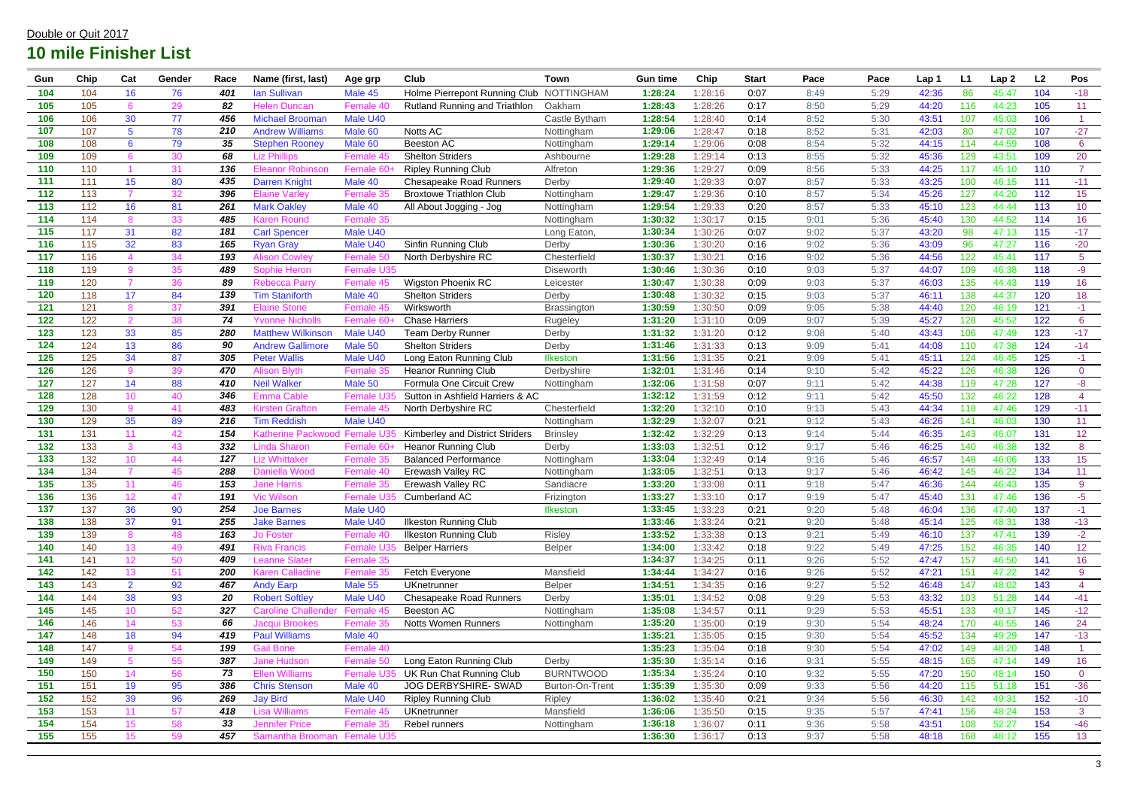| Gun   | Chip | Cat              | Gender | Race | Name (first, last)          | Age grp         | <b>Club</b>                              | <b>Town</b>      | <b>Gun time</b> | Chip    | <b>Start</b> | Pace | Pace | Lap 1 | L1  | Lap <sub>2</sub> | L <sub>2</sub> | Pos             |
|-------|------|------------------|--------|------|-----------------------------|-----------------|------------------------------------------|------------------|-----------------|---------|--------------|------|------|-------|-----|------------------|----------------|-----------------|
| 104   | 104  | 16               | 76     | 401  | <b>Ian Sullivan</b>         | Male 45         | Holme Pierrepont Running Club NOTTINGHAM |                  | 1:28:24         | 1:28:16 | 0:07         | 8:49 | 5:29 | 42:36 | 86  | 45:47            | 104            | $-18$           |
| 105   | 105  | 6                | 29     | 82   | <b>Helen Duncan</b>         | Female 4        | Rutland Running and Triathlon            | Oakham           | 1:28:43         | 1:28:26 | 0:17         | 8:50 | 5:29 | 44:20 | 116 | 44:23            | 105            | 11              |
| 106   | 106  | 30               | 77     | 456  | <b>Michael Brooman</b>      | Male U40        |                                          | Castle Bytham    | 1:28:54         | 1:28:40 | 0:14         | 8:52 | 5:30 | 43:51 | 107 | 45:03            | 106            |                 |
| 107   | 107  | 5 <sup>5</sup>   | 78     | 210  | <b>Andrew Williams</b>      | Male 60         | Notts AC                                 | Nottingham       | 1:29:06         | 1:28:47 | 0:18         | 8:52 | 5:31 | 42:03 | 80  | 47:02            | 107            | $-27$           |
| 108   | 108  | $6\phantom{1}6$  | 79     | 35   | <b>Stephen Rooney</b>       | Male 60         | Beeston AC                               | Nottingham       | 1:29:14         | 1:29:06 | 0:08         | 8:54 | 5:32 | 44:15 | 114 | 44:59            | 108            | $6\overline{6}$ |
| 109   | 109  |                  | 30     | 68   | Liz Phillips                | Female 45       | <b>Shelton Striders</b>                  | Ashbourne        | 1:29:28         | 1:29:14 | 0:13         | 8:55 | 5:32 | 45:36 | 129 | 43:51            | 109            | 20              |
| 110   | 110  |                  | 31     | 136  | <b>Eleanor Robinsor</b>     | Female 6        | <b>Ripley Running Club</b>               | Alfreton         | 1:29:36         | 1:29:27 | 0:09         | 8:56 | 5:33 | 44:25 | 117 | 45:10            | 110            | $\overline{7}$  |
| 111   | 111  | 15               | 80     | 435  | <b>Darren Knight</b>        | Male 40         | <b>Chesapeake Road Runners</b>           | Derby            | 1:29:40         | 1:29:33 | 0:07         | 8:57 | 5:33 | 43:25 | 100 | 46:15            | 111            | $-11$           |
| 112   | 113  | 7                | 32     | 396  | <b>Elaine Varley</b>        | <b>Female 3</b> | <b>Broxtowe Triathlon Club</b>           | Nottingham       | 1:29:47         | 1:29:36 | 0:10         | 8:57 | 5:34 | 45:26 | 127 | 44:20            | 112            | 15              |
| 113   | 112  | 16               | 81     | 261  | <b>Mark Oakley</b>          | Male 40         | All About Jogging - Jog                  | Nottingham       | 1:29:54         | 1:29:33 | 0:20         | 8:57 | 5:33 | 45:10 | 123 | 44:44            | 113            | 10              |
| 114   | 114  | 8                | 33     | 485  | Karen Round                 | Female 35       |                                          | Nottingham       | 1:30:32         | 1:30:17 | 0:15         | 9:01 | 5:36 | 45:40 | 130 | 44:52            | 114            | 16              |
| 115   | 117  | 31               | 82     | 181  | <b>Carl Spencer</b>         | Male U40        |                                          | Long Eaton,      | 1:30:34         | 1:30:26 | 0:07         | 9:02 | 5:37 | 43:20 | 98  | 47:13            | 115            | $-17$           |
| 116   | 115  | 32               | 83     | 165  | <b>Ryan Gray</b>            | Male U40        | Sinfin Running Club                      | Derby            | 1:30:36         | 1:30:20 | 0:16         | 9:02 | 5:36 | 43:09 | 96  | 47:27            | 116            | $-20$           |
| 117   | 116  |                  | 34     | 193  | <b>Alison Cowley</b>        | Female 5        | North Derbyshire RC                      | Chesterfield     | 1:30:37         | 1:30:21 | 0:16         | 9:02 | 5:36 | 44:56 | 122 | 45:41            | 117            | 5 <sup>5</sup>  |
| 118   | 119  | 9                | 35     | 489  | Sophie Heron                | Female U35      |                                          | <b>Diseworth</b> | 1:30:46         | 1:30:36 | 0:10         | 9:03 | 5:37 | 44:07 | 109 | 46:38            | 118            | $-9$            |
| 119   | 120  |                  | 36     | 89   | <b>Rebecca Parry</b>        | Female 45       | <b>Wigston Phoenix RC</b>                | Leicester        | 1:30:47         | 1:30:38 | 0:09         | 9:03 | 5:37 | 46:03 | 135 | 44:43            | 119            | 16              |
| 120   | 118  | 17               | 84     | 139  | <b>Tim Staniforth</b>       | Male 40         | <b>Shelton Striders</b>                  | Derby            | 1:30:48         | 1:30:32 | 0:15         | 9:03 | 5:37 | 46:11 | 138 | 44:37            | 120            | 18              |
| 121   | 121  | 8                | 37     | 391  | Elaine Stone                | Female 45       | Wirksworth                               | Brassington      | 1:30:59         | 1:30:50 | 0:09         | 9:05 | 5:38 | 44:40 | 120 | 46:19            | 121            | $-1$            |
| 122   | 122  | $\overline{2}$   | 38     | 74   | <b>Yvonne Nicholls</b>      | Female 6        | <b>Chase Harriers</b>                    | Rugeley          | 1:31:20         | 1:31:10 | 0:09         | 9:07 | 5:39 | 45:27 | 128 | 45:52            | 122            | $6\overline{6}$ |
| 123   | 123  | 33               | 85     | 280  | <b>Matthew Wilkinsor</b>    | Male U40        | <b>Team Derby Runner</b>                 | Derby            | 1:31:32         | 1:31:20 | 0:12         | 9:08 | 5:40 | 43:43 | 106 | 47:49            | 123            | $-17$           |
| 124   | 124  | 13               | 86     | 90   | <b>Andrew Gallimore</b>     | Male 50         | <b>Shelton Striders</b>                  | Derby            | 1:31:46         | 1:31:33 | 0:13         | 9:09 | 5:41 | 44:08 | 110 | 47:38            | 124            | $-14$           |
| 125   | 125  | 34               | 87     | 305  | <b>Peter Wallis</b>         | Male U40        | Long Eaton Running Club                  | Ilkeston         | 1:31:56         | 1:31:35 | 0:21         | 9:09 | 5:41 | 45:11 | 124 | 46:45            | 125            | $-1$            |
| 126   | 126  | 9                | 39     | 470  | <b>Alison Blyth</b>         | Female 3        | <b>Heanor Running Club</b>               | Derbyshire       | 1:32:01         | 1:31:46 | 0:14         | 9:10 | 5:42 | 45:22 | 126 | 46:38            | 126            | $\overline{0}$  |
| 127   | 127  | 14               | 88     | 410  | <b>Neil Walker</b>          | Male 50         | Formula One Circuit Crew                 | Nottingham       | 1:32:06         | 1:31:58 | 0:07         | 9:11 | 5:42 | 44:38 | 119 | 47:28            | 127            | -8              |
| 128   | 128  | 10               | 40     | 346  | Emma Cable                  | Female I        | Sutton in Ashfield Harriers & AC         |                  | 1:32:12         | 1:31:59 | 0:12         | 9:11 | 5:42 | 45:50 | 132 | 46:22            | 128            | $\overline{4}$  |
| 129   | 130  | 9                | 41     | 483  | Kirsten Grafton             | Female 45       | North Derbyshire RC                      | Chesterfield     | 1:32:20         | 1:32:10 | 0:10         | 9:13 | 5:43 | 44:34 | 118 | 47:46            | 129            | $-11$           |
| 130   | 129  | 35               | 89     | 216  | <b>Tim Reddish</b>          | Male U40        |                                          | Nottingham       | 1:32:29         | 1:32:07 | 0:21         | 9:12 | 5:43 | 46:26 | 141 | 46:03            | 130            | 11              |
| 131   | 131  | 11               | 42     | 154  | Katherine Packwood Female   |                 | Kimberley and District Striders          | <b>Brinsley</b>  | 1:32:42         | 1:32:29 | 0:13         | 9:14 | 5:44 | 46:35 | 143 | 46:07            | 131            | 12              |
| 132   | 133  | 3                | 43     | 332  | <b>Linda Sharon</b>         | Female 6        | <b>Heanor Running Club</b>               | Derby            | 1:33:03         | 1:32:51 | 0:12         | 9:17 | 5:46 | 46:25 | 140 | 46:38            | 132            | 8               |
| 133   | 132  | 10               | 44     | 127  | Liz Whittaker               | <b>Female:</b>  | <b>Balanced Performance</b>              | Nottingham       | 1:33:04         | 1:32:49 | 0:14         | 9:16 | 5:46 | 46:57 | 148 | 46:06            | 133            | 15              |
| 134   | 134  | $\overline{7}$   | 45     | 288  | Daniella Wood               | Female 40       | Erewash Valley RC                        | Nottingham       | 1:33:05         | 1:32:51 | 0:13         | 9:17 | 5:46 | 46:42 | 145 | 46:22            | 134            | 11              |
| 135   | 135  | 11               | 46     | 153  | Jane Harris                 | Female 35       | Erewash Valley RC                        | Sandiacre        | 1:33:20         | 1:33:08 | 0:11         | 9:18 | 5:47 | 46:36 | 144 | 46:43            | 135            | 9               |
| 136   | 136  | 12               | 47     | 191  | Vic Wilson                  | Female U        | Cumberland AC                            | Frizington       | 1:33:27         | 1:33:10 | 0:17         | 9:19 | 5:47 | 45:40 | 131 | 47:46            | 136            | -5              |
| 137   | 137  | 36               | 90     | 254  | <b>Joe Barnes</b>           | Male U40        |                                          | <b>Ilkeston</b>  | 1:33:45         | 1:33:23 | 0:21         | 9:20 | 5:48 | 46:04 | 136 | 47:40            | 137            | $-1$            |
| 138   | 138  | 37               | 91     | 255  | <b>Jake Barnes</b>          | Male U40        | <b>Ilkeston Running Club</b>             |                  | 1:33:46         | 1:33:24 | 0:21         | 9:20 | 5:48 | 45:14 | 125 | 48:31            | 138            | $-13$           |
| 139   | 139  | 8                | 48     | 163  | <b>Jo Foster</b>            | Female 40       | <b>Ilkeston Running Club</b>             | <b>Risley</b>    | 1:33:52         | 1:33:38 | 0:13         | 9:21 | 5:49 | 46:10 | 137 | 47:41            | 139            | $-2$            |
| 140   | 140  | 13 <sup>°</sup>  | 49     | 491  | <b>Riva Francis</b>         | Female I        | <b>Belper Harriers</b>                   | <b>Belper</b>    | 1:34:00         | 1:33:42 | 0:18         | 9:22 | 5:49 | 47:25 | 152 | 46:35            | 140            | 12              |
| 141   | 141  | 12 <sub>2</sub>  | 50     | 409  | <b>Leanne Slater</b>        | Female 35       |                                          |                  | 1:34:37         | 1:34:25 | 0:11         | 9:26 | 5:52 | 47:47 | 157 | 46:50            | 141            | 16              |
| $142$ | 142  | 13 <sup>°</sup>  | 51     | 200  | <b>Karen Calladine</b>      | Female 35       | Fetch Everyone                           | Mansfield        | 1:34:44         | 1:34:27 | 0:16         | 9:26 | 5:52 | 47:21 | 151 | 47:22            | 142            | 9               |
| 143   | 143  | $\overline{2}$   | 92     | 467  | <b>Andy Earp</b>            | Male 55         | <b>UKnetrunner</b>                       | <b>Belper</b>    | 1:34:51         | 1:34:35 | 0:16         | 9:27 | 5:52 | 46:48 | 147 | 48:02            | 143            | $\overline{4}$  |
| 144   | 144  | 38               | 93     | 20   | <b>Robert Softley</b>       | Male U40        | <b>Chesapeake Road Runners</b>           | Derby            | 1:35:01         | 1:34:52 | 0:08         | 9:29 | 5:53 | 43:32 | 103 | 51:28            | 144            | $-41$           |
| 145   | 145  | 10               | 52     | 327  | <b>Caroline Challender</b>  | Female 45       | Beeston AC                               | Nottingham       | 1:35:08         | 1:34:57 | 0:11         | 9:29 | 5:53 | 45:51 | 133 | 49:17            | 145            | $-12$           |
| 146   | 146  | 14               | 53     | 66   | Jacqui Brookes              | Female 35       | <b>Notts Women Runners</b>               | Nottingham       | 1:35:20         | 1:35:00 | 0:19         | 9:30 | 5:54 | 48:24 | 170 | 46:55            | 146            | 24              |
| 147   | 148  | 18               | 94     | 419  | <b>Paul Williams</b>        | Male 40         |                                          |                  | 1:35:21         | 1:35:05 | 0:15         | 9:30 | 5:54 | 45:52 | 134 | 49:29            | 147            | $-13$           |
| 148   | 147  | 9                | 54     | 199  | <b>Gail Bone</b>            | Female 40       |                                          |                  | 1:35:23         | 1:35:04 | 0:18         | 9:30 | 5:54 | 47:02 | 149 | 48:20            | 148            |                 |
| 149   | 149  | 5 <sup>5</sup>   | 55     | 387  | <b>Jane Hudson</b>          | Female 5        | Long Eaton Running Club                  | Derby            | 1:35:30         | 1:35:14 | 0:16         | 9:31 | 5:55 | 48:15 | 165 | 47:14            | 149            | 16              |
| 150   | 150  | 14               | 56     | 73   | <b>Ellen Williams</b>       | <b>Female L</b> | UK Run Chat Running Club                 | <b>BURNTWOOD</b> | 1:35:34         | 1:35:24 | 0:10         | 9:32 | 5:55 | 47:20 | 150 | 48:14            | 150            | $\overline{0}$  |
| 151   | 151  | 19               | 95     | 386  | <b>Chris Stenson</b>        | Male 40         | JOG DERBYSHIRE- SWAD                     | Burton-On-Trent  | 1:35:39         | 1:35:30 | 0:09         | 9:33 | 5:56 | 44:20 | 115 | 51:18            | 151            | $-36$           |
| 152   | 152  | 39               | 96     | 269  | <b>Jay Bird</b>             | Male U40        | <b>Ripley Running Club</b>               | <b>Ripley</b>    | 1:36:02         | 1:35:40 | 0:21         | 9:34 | 5:56 | 46:30 | 142 | 49:31            | 152            | $-10$           |
| 153   | 153  | 11               | 57     | 418  | <b>Lisa Williams</b>        | Female 45       | <b>UKnetrunner</b>                       | Mansfield        | 1:36:06         | 1:35:50 | 0:15         | 9:35 | 5:57 | 47:41 | 156 | 48:24            | 153            | $\mathbf{3}$    |
| 154   | 154  | 15               | 58     | 33   | <b>Jennifer Price</b>       | Female 35       | Rebel runners                            | Nottingham       | 1:36:18         | 1:36:07 | 0:11         | 9:36 | 5:58 | 43:51 | 108 | 52:27            | 154            | $-46$           |
| 155   | 155  | 15 <sub>15</sub> | 59     | 457  | Samantha Brooman Female U35 |                 |                                          |                  | 1:36:30         | 1:36:17 | 0:13         | 9:37 | 5:58 | 48:18 | 168 | 48:12            | 155            | 13 <sup>°</sup> |
|       |      |                  |        |      |                             |                 |                                          |                  |                 |         |              |      |      |       |     |                  |                |                 |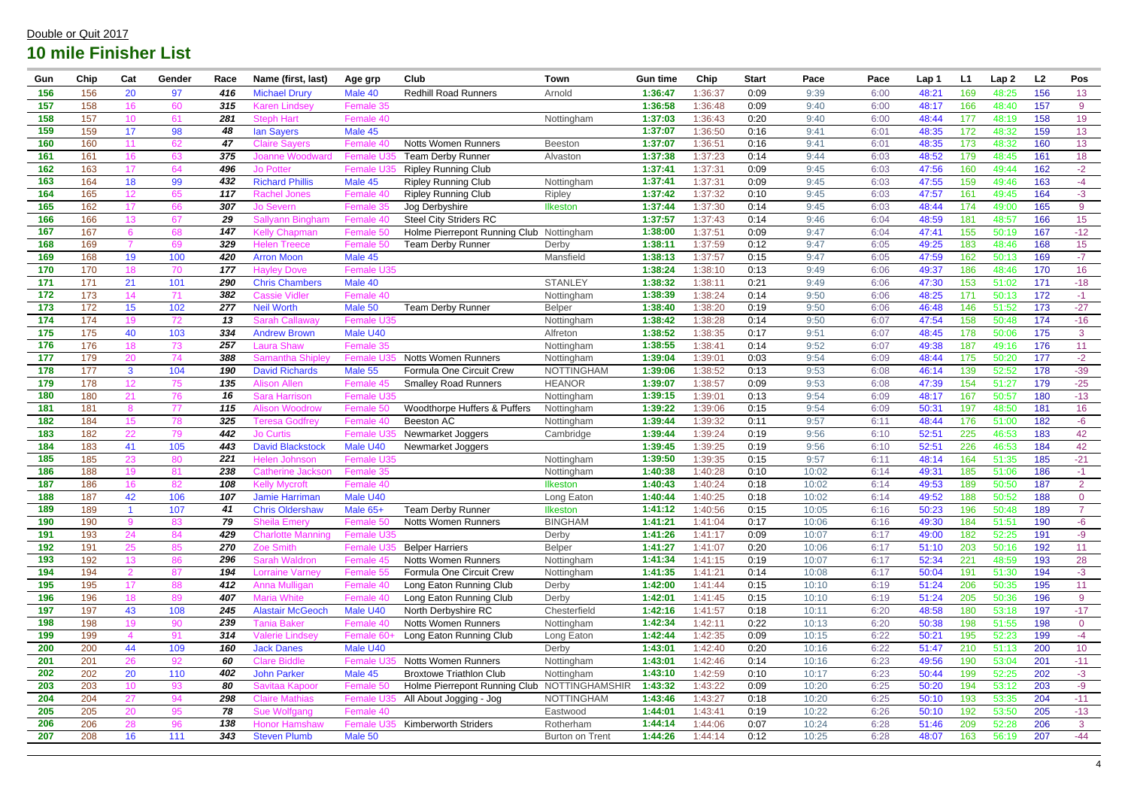| Gun | Chip             | Cat             | Gender | Race | Name (first, last)       | Age grp           | <b>Club</b>                                  | <b>Town</b>            | <b>Gun time</b> | Chip    | <b>Start</b> | Pace  | Pace | Lap 1 | L1              | Lap <sub>2</sub> | L <sub>2</sub> | Pos             |
|-----|------------------|-----------------|--------|------|--------------------------|-------------------|----------------------------------------------|------------------------|-----------------|---------|--------------|-------|------|-------|-----------------|------------------|----------------|-----------------|
| 156 | 156              | 20              | 97     | 416  | <b>Michael Drury</b>     | Male 40           | <b>Redhill Road Runners</b>                  | Arnold                 | 1:36:47         | 1:36:37 | 0:09         | 9:39  | 6:00 | 48:21 | 169             | 48:25            | 156            | 13              |
| 157 | 158              | 16              | 60     | 315  | Karen Lindsev            | Female 35         |                                              |                        | 1:36:58         | 1:36:48 | 0:09         | 9:40  | 6:00 | 48:17 | 166             | 48:40            | 157            | 9               |
| 158 | 157              | 10              | 61     | 281  | <b>Steph Hart</b>        | Female 40         |                                              | Nottingham             | 1:37:03         | 1:36:43 | 0:20         | 9:40  | 6:00 | 48:44 | 177             | 48:19            | 158            | 19              |
| 159 | 159              | 17              | 98     | 48   | lan Sayers               | Male 45           |                                              |                        | 1:37:07         | 1:36:50 | 0:16         | 9:41  | 6:01 | 48:35 | 172             | 48:32            | 159            | 13              |
| 160 | 160              | 11              | 62     | 47   | <b>Claire Savers</b>     | Female 4          | <b>Notts Women Runners</b>                   | Beeston                | 1:37:07         | 1:36:51 | 0:16         | 9:41  | 6:01 | 48:35 | 173             | 48:32            | 160            | 13              |
| 161 | 161              | 16              | 63     | 375  | Joanne Woodward          | Female I          | <b>Team Derby Runner</b>                     | Alvaston               | 1:37:38         | 1:37:23 | 0:14         | 9:44  | 6:03 | 48:52 | 179             | 48:45            | 161            | 18              |
| 162 | 163              | 17              | 64     | 496  | Jo Potter                | Female            | <b>Ripley Running Club</b>                   |                        | 1:37:4'         | 1:37:31 | 0:09         | 9:45  | 6:03 | 47:56 | 160             | 49:44            | 162            | $-2$            |
| 163 | 164              | 18              | 99     | 432  | <b>Richard Phillis</b>   | Male 45           | <b>Ripley Running Club</b>                   | Nottingham             | 1:37:4'         | 1:37:31 | 0:09         | 9:45  | 6:03 | 47:55 | 159             | 49:46            | 163            | $-4$            |
| 164 | 165              | 12 <sub>2</sub> | 65     | 117  | <b>Rachel Jones</b>      | Female 4          | <b>Ripley Running Club</b>                   | Ripley                 | 1:37:42         | 1:37:32 | 0:10         | 9:45  | 6:03 | 47:57 | 16 <sup>′</sup> | 49:45            | 164            | $-3$            |
| 165 | 162              | 17              | 66     | 307  | <b>Jo Severn</b>         | Female            | Jog Derbyshire                               | Ilkeston               | 1:37:44         | 1:37:30 | 0:14         | 9:45  | 6:03 | 48:44 | 174             | 49:00            | 165            | 9               |
| 166 | 166              | 13              | 67     | 29   | <b>Sallyann Bingham</b>  | Female 40         | <b>Steel City Striders RC</b>                |                        | 1:37:57         | 1:37:43 | 0:14         | 9:46  | 6:04 | 48:59 | 18 <sup>′</sup> | 48:57            | 166            | 15              |
| 167 | 167              | 6               | 68     | 147  | <b>Kelly Chapman</b>     | Female 50         | Holme Pierrepont Running Club Nottingham     |                        | 1:38:00         | 1:37:51 | 0:09         | 9:47  | 6:04 | 47:41 | 155             | 50:19            | 167            | $-12$           |
| 168 | 169              | $\overline{7}$  | 69     | 329  | <b>Helen Treece</b>      | Female 5          | <b>Team Derby Runner</b>                     | Derby                  | 1:38:11         | 1:37:59 | 0:12         | 9:47  | 6:05 | 49:25 | 183             | 48:46            | 168            | 15 <sub>1</sub> |
| 169 | 168              | 19              | 100    | 420  | <b>Arron Moon</b>        | Male 45           |                                              | Mansfield              | 1:38:13         | 1:37:57 | 0:15         | 9:47  | 6:05 | 47:59 | 162             | 50:13            | 169            | $-7$            |
| 170 | 170              | 18              | 70     | 177  | <b>Havley Dove</b>       | Female U35        |                                              |                        | 1:38:24         | 1:38:10 | 0:13         | 9:49  | 6:06 | 49:37 | 186             | 48:46            | 170            | 16              |
| 171 | 171              | 21              | 101    | 290  | <b>Chris Chambers</b>    | Male 40           |                                              | <b>STANLEY</b>         | 1:38:32         | 1:38:11 | 0:21         | 9:49  | 6:06 | 47:30 | 153             | 51:02            | 171            | $-18$           |
| 172 | 173              | 14              | 71     | 382  | <b>Cassie Vidler</b>     | Female 40         |                                              | Nottingham             | 1:38:39         | 1:38:24 | 0:14         | 9:50  | 6:06 | 48:25 | 171             | 50:13            | 172            | $-1$            |
| 173 | 172              | 15              | 102    | 277  | <b>Neil Worth</b>        | Male 50           | <b>Team Derby Runner</b>                     | <b>Belper</b>          | 1:38:40         | 1:38:20 | 0:19         | 9:50  | 6:06 | 46:48 | 146             | 51:52            | 173            | $-27$           |
| 174 | 174              | 19              | 72     | 13   | <b>Sarah Callaway</b>    | Female U35        |                                              | Nottingham             | 1:38:42         | 1:38:28 | 0:14         | 9:50  | 6:07 | 47:54 | 158             | 50:48            | 174            | $-16$           |
| 175 | 175              | 40              | 103    | 334  | <b>Andrew Brown</b>      | Male U40          |                                              | Alfreton               | 1:38:52         | 1:38:35 | 0:17         | 9:51  | 6:07 | 48:45 | 178             | 50:06            | 175            | $\mathbf{3}$    |
| 176 | 176              | 18              | 73     | 257  | Laura Shaw               | Female 35         |                                              | Nottingham             | 1:38:55         | 1:38:41 | 0:14         | 9:52  | 6:07 | 49:38 | 187             | 49:16            | 176            | 11              |
| 177 | 179              | 20              | 74     | 388  | <b>Samantha Shiple</b>   | Female L          | <b>Notts Women Runners</b>                   | Nottingham             | 1:39:04         | 1:39:01 | 0:03         | 9:54  | 6:09 | 48:44 | 175             | 50:20            | 177            | $-2$            |
| 178 | 177              | $\mathbf{3}$    | 104    | 190  | <b>David Richards</b>    | Male 55           | Formula One Circuit Crew                     | <b>NOTTINGHAM</b>      | 1:39:06         | 1:38:52 | 0:13         | 9:53  | 6:08 | 46:14 | 139             | 52:52            | 178            | $-39$           |
| 179 | 178              | 12 <sup>2</sup> | 75     | 135  | <b>Alison Allen</b>      | Female $\cdot$    | <b>Smalley Road Runners</b>                  | <b>HEANOR</b>          | 1:39:07         | 1:38:57 | 0:09         | 9:53  | 6:08 | 47:39 | 154             | 51:27            | 179            | $-25$           |
| 180 | 180              | 21              | 76     | 16   | <b>Sara Harrison</b>     | <b>Female U35</b> |                                              | Nottingham             | 1:39:15         | 1:39:01 | 0:13         | 9:54  | 6:09 | 48:17 | 167             | 50:57            | 180            | $-13$           |
| 181 | 181              | 8               | 77     | 115  | <b>Alison Woodrow</b>    | Female 5          | Woodthorpe Huffers & Puffers                 | Nottingham             | 1:39:22         | 1:39:06 | 0:15         | 9:54  | 6:09 | 50:31 | 197             | 48:50            | 181            | 16              |
| 182 | 184              | 15              | 78     | 325  | <b>Teresa Godfrey</b>    | Female 40         | <b>Beeston AC</b>                            | Nottingham             | 1:39:44         | 1:39:32 | 0:11         | 9:57  | 6:11 | 48:44 | 176             | 51:00            | 182            | $-6$            |
| 183 | 182              | 22              | 79     | 442  | Jo Curtis                | Female I          | Newmarket Joggers                            | Cambridge              | 1:39:44         | 1:39:24 | 0:19         | 9:56  | 6:10 | 52:51 | 225             | 46:53            | 183            | 42              |
| 184 | 183              | 41              | 105    | 443  | <b>David Blackstock</b>  | Male U40          | Newmarket Joggers                            |                        | 1:39:45         | 1:39:25 | 0:19         | 9:56  | 6:10 | 52:51 | 226             | 46:53            | 184            | 42              |
| 185 | 185              | 23              | 80     | 221  | <b>Helen Johnson</b>     | Female U35        |                                              | Nottingham             | 1:39:50         | 1:39:35 | 0:15         | 9:57  | 6:11 | 48:14 | 164             | 51:35            | 185            | $-21$           |
| 186 | 188              | 19              | 81     | 238  | Catherine Jacksor        | Female 35         |                                              | Nottingham             | 1:40:38         | 1:40:28 | 0:10         | 10:02 | 6:14 | 49:31 | 185             | 51:06            | 186            | $-1$            |
| 187 | 186              | 16              | 82     | 108  | Kellv Mvcroft            | Female 40         |                                              | <b>Ilkeston</b>        | 1:40:43         | 1:40:24 | 0:18         | 10:02 | 6:14 | 49:53 | 189             | 50:50            | 187            | $\overline{2}$  |
| 188 | $\overline{187}$ | 42              | 106    | 107  | Jamie Harriman           | Male U40          |                                              | Long Eaton             | 1:40:44         | 1:40:25 | 0:18         | 10:02 | 6:14 | 49:52 | 188             | 50:52            | 188            | $\overline{0}$  |
| 189 | 189              |                 | 107    | 41   | <b>Chris Oldershaw</b>   | Male 65+          | <b>Team Derby Runner</b>                     | Ilkeston               | 1:41:12         | 1:40:56 | 0:15         | 10:05 | 6:16 | 50:23 | 196             | 50:48            | 189            | $\overline{7}$  |
| 190 | 190              | 9               | 83     | 79   | <b>Sheila Emery</b>      | Female 50         | Notts Women Runners                          | <b>BINGHAM</b>         | 1:41:21         | 1:41:04 | 0:17         | 10:06 | 6:16 | 49:30 | 184             | 51:51            | 190            | $-6$            |
| 191 | 193              | 24              | 84     | 429  | <b>Charlotte Manning</b> | Female U35        |                                              | Derby                  | 1:41:26         | 1:41:17 | 0:09         | 10:07 | 6:17 | 49:00 | 182             | 52:25            | 191            | -9              |
| 192 | 191              | 25              | 85     | 270  | <b>Zoe Smith</b>         | Female L          | <b>Belper Harriers</b>                       | Belper                 | 1:41:27         | 1:41:07 | 0:20         | 10:06 | 6:17 | 51:10 | 203             | 50:16            | 192            | 11              |
| 193 | 192              | 13              | 86     | 296  | <b>Sarah Waldron</b>     | Female 45         | <b>Notts Women Runners</b>                   | Nottingham             | 1:41:34         | 1:41:15 | 0:19         | 10:07 | 6:17 | 52:34 | 221             | 48:59            | 193            | 28              |
| 194 | 194              | 2 <sup>1</sup>  | 87     | 194  | <b>Lorraine Varney</b>   | Female 55         | Formula One Circuit Crew                     | Nottingham             | 1:41:35         | 1:41:21 | 0:14         | 10:08 | 6:17 | 50:04 | 191             | 51:30            | 194            | $-3$            |
| 195 | 195              | 17              | 88     | 412  | Anna Mulligan            | Female 40         | Long Eaton Running Club                      | Derby                  | 1:42:00         | 1:41:44 | 0:15         | 10:10 | 6:19 | 51:24 | 206             | 50:35            | 195            | 11              |
| 196 | 196              | 18              | 89     | 407  | <b>Maria White</b>       | Female 40         | Long Eaton Running Club                      | Derby                  | 1:42:01         | 1:41:45 | 0:15         | 10:10 | 6:19 | 51:24 | 205             | 50:36            | 196            | 9               |
| 197 | 197              | 43              | 108    | 245  | <b>Alastair McGeoch</b>  | Male U40          | North Derbyshire RC                          | Chesterfield           | 1:42:16         | 1:41:57 | 0:18         | 10:11 | 6:20 | 48:58 | 180             | 53:18            | 197            | $-17$           |
| 198 | 198              | 19              | 90     | 239  | <b>Tania Baker</b>       | Female 40         | Notts Women Runners                          | Nottingham             | 1:42:34         | 1:42:11 | 0:22         | 10:13 | 6:20 | 50:38 | 198             | 51:55            | 198            | $\overline{0}$  |
| 199 | 199              | $\overline{4}$  | 91     | 314  | <b>Valerie Lindsey</b>   | Female 6          | Long Eaton Running Club                      | Long Eaton             | 1:42:44         | 1:42:35 | 0:09         | 10:15 | 6:22 | 50:21 | 195             | 52:23            | 199            | $-4$            |
| 200 | 200              | 44              | 109    | 160  | <b>Jack Danes</b>        | Male U40          |                                              | Derby                  | 1:43:01         | 1:42:40 | 0:20         | 10:16 | 6:22 | 51:47 | 210             | 51:13            | 200            | 10 <sup>°</sup> |
| 201 | 201              | 26              | 92     | 60   | <b>Clare Biddle</b>      | Female L          | Notts Women Runners                          | Nottingham             | 1:43:01         | 1:42:46 | 0:14         | 10:16 | 6:23 | 49:56 | 190             | 53:04            | 201            | $-11$           |
| 202 | 202              | 20              | 110    | 402  | <b>John Parker</b>       | Male 45           | <b>Broxtowe Triathlon Club</b>               | Nottingham             | 1:43:10         | 1:42:59 | 0:10         | 10:17 | 6:23 | 50:44 | 199             | 52:25            | 202            | $-3$            |
| 203 | 203              | 10              | 93     | 80   | Savitaa Kapoor           | Female 5          | Holme Pierrepont Running Club NOTTINGHAMSHIR |                        | 1:43:32         | 1:43:22 | 0:09         | 10:20 | 6:25 | 50:20 | 194             | 53:12            | 203            | $-9$            |
| 204 | 204              | 27              | 94     | 298  | <b>Claire Mathias</b>    | <b>Female L</b>   | All About Jogging - Jog                      | <b>NOTTINGHAM</b>      | 1:43:46         | 1:43:27 | 0:18         | 10:20 | 6:25 | 50:10 | 193             | 53:35            | 204            | $-11$           |
| 205 | 205              | 20              | 95     | 78   | Sue Wolfgang             | Female 40         |                                              | Eastwood               | 1:44:01         | 1:43:41 | 0:19         | 10:22 | 6:26 | 50:10 | 192             | 53:50            | 205            | $-13$           |
| 206 | 206              | 28              | 96     | 138  | <b>Honor Hamshaw</b>     | Female L          | <b>Kimberworth Striders</b>                  | Rotherham              | 1:44:14         | 1:44:06 | 0:07         | 10:24 | 6:28 | 51:46 | 209             | 52:28            | 206            | 3 <sup>1</sup>  |
| 207 | 208              | 16              | 111    | 343  | <b>Steven Plumb</b>      | Male 50           |                                              | <b>Burton on Trent</b> | 1:44:26         | 1:44:14 | 0:12         | 10:25 | 6:28 | 48:07 | 163             | 56:19            | 207            | $-44$           |
|     |                  |                 |        |      |                          |                   |                                              |                        |                 |         |              |       |      |       |                 |                  |                |                 |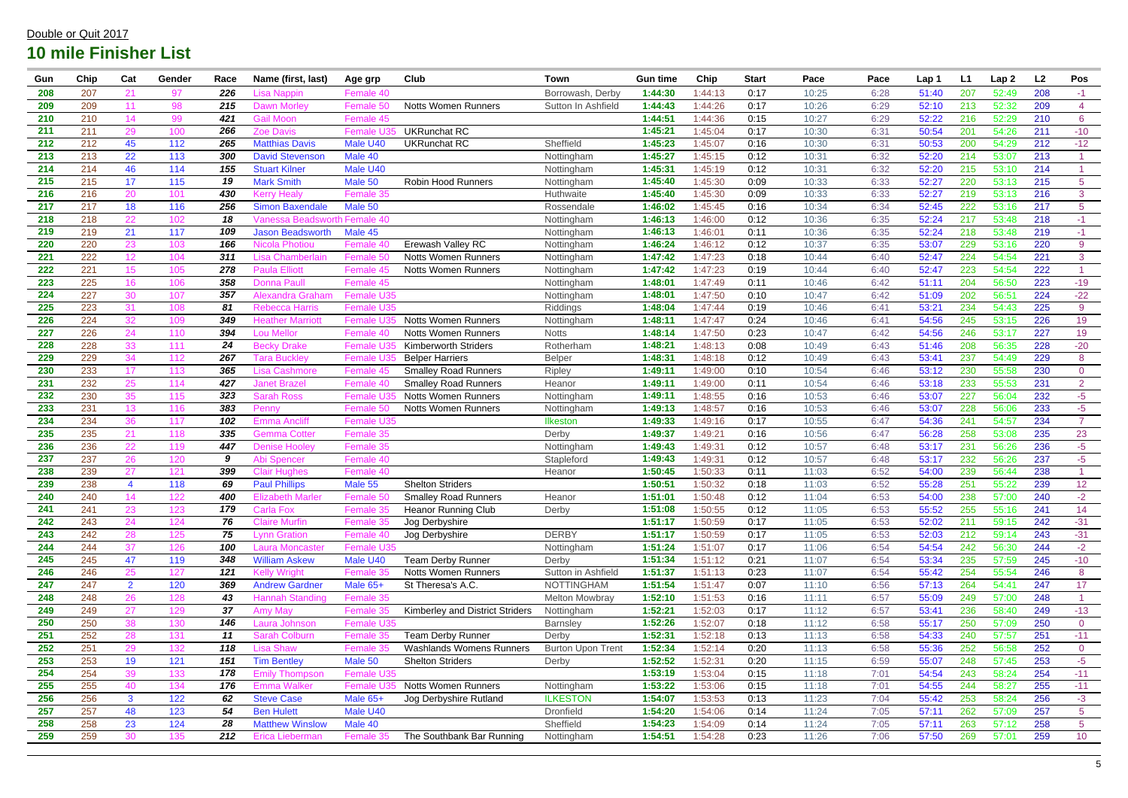| Gun        | Chip | Cat                     | Gender | Race | Name (first, last)      | Age grp         | Club                                   | <b>Town</b>              | <b>Gun time</b> | Chip    | <b>Start</b> | Pace  | Pace | Lap 1 | L <sub>1</sub> | Lap2  | L2  | Pos             |
|------------|------|-------------------------|--------|------|-------------------------|-----------------|----------------------------------------|--------------------------|-----------------|---------|--------------|-------|------|-------|----------------|-------|-----|-----------------|
| 208        | 207  | 21                      | 97     | 226  | ∟isa Nappin             | Female 40       |                                        | Borrowash, Derby         | 1:44:30         | 1:44:13 | 0:17         | 10:25 | 6:28 | 51:40 | 207            | 52:49 | 208 | $-1$            |
| 209        | 209  | 11                      | 98     | 215  | <b>Dawn Morley</b>      | Female 5        | <b>Notts Women Runners</b>             | Sutton In Ashfield       | 1:44:43         | 1:44:26 | 0:17         | 10:26 | 6:29 | 52:10 | 213            | 52:32 | 209 | $\overline{4}$  |
| 210        | 210  | 14                      | 99     | 421  | <b>Gail Moon</b>        | Female 45       |                                        |                          | 1:44:51         | 1:44:36 | 0:15         | 10:27 | 6:29 | 52:22 | 216            | 52:29 | 210 | $6\overline{6}$ |
| 211        | 211  | 29                      | 100    | 266  | <b>Zoe Davis</b>        | Female I        | <b>UKRunchat RC</b>                    |                          | 1:45:21         | 1:45:04 | 0:17         | 10:30 | 6:31 | 50:54 | 201            | 54:26 | 211 | $-10$           |
| 212        | 212  | 45                      | 112    | 265  | <b>Matthias Davis</b>   | Male U40        | <b>UKRunchat RC</b>                    | Sheffield                | 1:45:23         | 1:45:07 | 0:16         | 10:30 | 6:31 | 50:53 | 200            | 54:29 | 212 | $-12$           |
| 213        | 213  | 22                      | 113    | 300  | <b>David Stevenson</b>  | Male 40         |                                        | Nottingham               | 1:45:27         | 1:45:15 | 0:12         | 10:31 | 6:32 | 52:20 | 214            | 53:07 | 213 |                 |
| 214        | 214  | 46                      | 114    | 155  | <b>Stuart Kilner</b>    | Male U40        |                                        | Nottingham               | 1:45:31         | 1:45:19 | 0:12         | 10:31 | 6:32 | 52:20 | 215            | 53:10 | 214 |                 |
| 215        | 215  | 17                      | 115    | 19   | <b>Mark Smith</b>       | Male 50         | <b>Robin Hood Runners</b>              | Nottingham               | 1:45:40         | :45:30  | 0:09         | 10:33 | 6:33 | 52:27 | 220            | 53:13 | 215 | 5 <sup>5</sup>  |
| 216        | 216  | 20                      | 101    | 430  | <b>Kerry Healy</b>      | Female 35       |                                        | Huthwaite                | 1:45:40         | 1:45:30 | 0:09         | 10:33 | 6:33 | 52:27 | 219            | 53:13 | 216 | 3               |
| 217        | 217  | 18                      | 116    | 256  | <b>Simon Baxendale</b>  | Male 50         |                                        | Rossendale               | 1:46:02         | 1:45:45 | 0:16         | 10:34 | 6:34 | 52:45 | 222            | 53:16 | 217 | $\overline{5}$  |
| 218        | 218  | 22                      | 102    | 18   | Vanessa Beadswo         | n Female 40     |                                        | Nottingham               | 1:46:13         | 1:46:00 | 0:12         | 10:36 | 6:35 | 52:24 | 217            | 53:48 | 218 | $-1$            |
| 219        | 219  | 21                      | 117    | 109  | <b>Jason Beadsworth</b> | Male 45         |                                        | Nottingham               | 1:46:13         | 1:46:01 | 0:11         | 10:36 | 6:35 | 52:24 | 218            | 53:48 | 219 | $-1$            |
| 220        | 220  | 23                      | 103    | 166  | Nicola Photiou          | Female 4        | Erewash Valley RC                      | Nottingham               | 1:46:24         | 1:46:12 | 0:12         | 10:37 | 6:35 | 53:07 | 229            | 53:16 | 220 | 9               |
| 221        | 222  | 12                      | 104    | 311  | Lisa Chamberlair        | Female 50       | <b>Notts Women Runners</b>             | Nottingham               | 1:47:42         | 1:47:23 | 0:18         | 10:44 | 6:40 | 52:47 | 224            | 54:54 | 221 | 3               |
| 222        | 221  | 15                      | 105    | 278  | <b>Paula Elliott</b>    | Female 4        | <b>Notts Women Runners</b>             | Nottingham               | 1:47:42         | 1:47:23 | 0:19         | 10:44 | 6:40 | 52:47 | 223            | 54:54 | 222 |                 |
| 223        | 225  | 16                      | 106    | 358  | <b>Donna Paull</b>      | Female 45       |                                        | Nottingham               | 1:48:01         | 1:47:49 | 0:11         | 10:46 | 6:42 | 51:11 | 204            | 56:50 | 223 | $-19$           |
| 224        | 227  | 30                      | 107    | 357  | <b>Alexandra Grahan</b> | Female U35      |                                        | Nottingham               | 1:48:01         | 1:47:50 | 0:10         | 10:47 | 6:42 | 51:09 | 202            | 56:51 | 224 | $-22$           |
| 225        | 223  | 31                      | 108    | 81   | <b>Rebecca Harris</b>   | Female U35      |                                        | Riddings                 | 1:48:04         | 1:47:44 | 0:19         | 10:46 | 6:41 | 53:21 | 234            | 54:43 | 225 | 9               |
| 226        | 224  | 32                      | 109    | 349  | <b>Heather Marriott</b> | Female          | <b>Notts Women Runners</b>             | Nottingham               | 1:48:11         | 1:47:47 | 0:24         | 10:46 | 6:41 | 54:56 | 245            | 53:15 | 226 | 19              |
| 227        | 226  | 24                      | 110    | 394  | <b>Lou Mellor</b>       | Female 40       | <b>Notts Women Runners</b>             | <b>Notts</b>             | 1:48:14         | 1:47:50 | 0:23         | 10:47 | 6:42 | 54:56 | 246            | 53:17 | 227 | 19              |
| 228        | 228  | 33                      | 111    | 24   | <b>Becky Drake</b>      | <b>Female I</b> | <b>Kimberworth Striders</b>            | Rotherham                | 1:48:21         | 1:48:13 | 0:08         | 10:49 | 6:43 | 51:46 | 208            | 56:35 | 228 | $-20$           |
| 229        | 229  | 34                      | 112    | 267  | Tara Bucklev            | <b>Female L</b> | <b>Belper Harriers</b>                 | <b>Belper</b>            | 1:48:31         | 1:48:18 | 0:12         | 10:49 | 6:43 | 53:41 | 237            | 54:49 | 229 | 8               |
| 230        | 233  | 17                      | 113    | 365  | Lisa Cashmore           | Female 45       | <b>Smalley Road Runners</b>            | Ripley                   | 1:49:11         | 1:49:00 | 0:10         | 10:54 | 6:46 | 53:12 | 230            | 55:58 | 230 | $\overline{0}$  |
| 231        | 232  | 25                      | 114    | 427  | <b>Janet Brazel</b>     | Female 40       | <b>Smalley Road Runners</b>            | Heanor                   | 1:49:11         | 1:49:00 | 0:11         | 10:54 | 6:46 | 53:18 | 233            | 55:53 | 231 | $\overline{2}$  |
| 232        | 230  | 35                      | 115    | 323  | <b>Sarah Ross</b>       | Female I        | <b>Notts Women Runners</b>             | Nottingham               | 1:49:11         | 1:48:55 | 0:16         | 10:53 | 6:46 | 53:07 | 227            | 56:04 | 232 | $-5$            |
| 233        | 231  | 13                      | 116    | 383  | Penny                   | Female 50       | <b>Notts Women Runners</b>             | Nottingham               | 1:49:13         | 1:48:57 | 0:16         | 10:53 | 6:46 | 53:07 | 228            | 56:06 | 233 | $-5$            |
| 234        | 234  | 36                      | 117    | 102  | <b>Emma Ancliff</b>     | Female U35      |                                        | Ilkeston                 | 1:49:33         | 1:49:16 | 0:17         | 10:55 | 6:47 | 54:36 | 241            | 54:57 | 234 | $\overline{7}$  |
| 235        | 235  | 21                      | 118    | 335  | <b>Gemma Cotter</b>     | Female 35       |                                        | Derby                    | 1:49:37         | 1:49:21 | 0:16         | 10:56 | 6:47 | 56:28 | 258            | 53:08 | 235 | 23              |
| 236        | 236  | 22                      | 119    | 447  | <b>Denise Hooley</b>    | Female 35       |                                        | Nottingham               | 1:49:43         | 1:49:31 | 0:12         | 10:57 | 6:48 | 53:17 | 231            | 56:26 | 236 | $-5$            |
| 237        | 237  | 26                      | 120    | 9    | Abi Spencer             | Female 40       |                                        | Stapleford               | 1:49:43         | 1:49:31 | 0:12         | 10:57 | 6:48 | 53:17 | 232            | 56:26 | 237 | $-5$            |
| 238        | 239  | 27                      | 121    | 399  | <b>Clair Hughes</b>     | Female 40       |                                        | Heanor                   | 1:50:45         | 1:50:33 | 0:11         | 11:03 | 6:52 | 54:00 | 239            | 56:44 | 238 |                 |
| 239        | 238  | $\overline{\mathbf{4}}$ | 118    | 69   | <b>Paul Phillips</b>    | Male 55         | <b>Shelton Striders</b>                |                          | 1:50:51         | 1:50:32 | 0:18         | 11:03 | 6:52 | 55:28 | 251            | 55:22 | 239 | 12 <sub>2</sub> |
| 240        | 240  | 14                      | 122    | 400  | <b>Elizabeth Marler</b> | <b>Female</b>   | <b>Smalley Road Runners</b>            | Heanor                   | 1:51:01         | 1:50:48 | 0:12         | 11:04 | 6:53 | 54:00 | 238            | 57:00 | 240 | $-2$            |
| 241        | 241  | 23                      | 123    | 179  | <b>Carla Fox</b>        | Female 35       | <b>Heanor Running Club</b>             | Derby                    | 1:51:08         | 1:50:55 | 0:12         | 11:05 | 6:53 | 55:52 | 255            | 55:16 | 241 | 14              |
| 242        | 243  | 24                      | 124    | 76   | <b>Claire Murfin</b>    | Female 3        | Jog Derbyshire                         |                          | 1:51:17         | 1:50:59 | 0:17         | 11:05 | 6:53 | 52:02 | 211            | 59:15 | 242 | $-31$           |
| 243        | 242  | 28                      | 125    | 75   | <b>Lynn Gration</b>     | Female 40       | Jog Derbyshire                         | <b>DERBY</b>             | 1:51:17         | 1:50:59 | 0:17         | 11:05 | 6:53 | 52:03 | 212            | 59:14 | 243 | $-31$           |
| 244        | 244  | 37                      | 126    | 100  | <b>Laura Moncaster</b>  | Female U35      |                                        | Nottingham               | 1:51:24         | 1:51:07 | 0:17         | 11:06 | 6:54 | 54:54 | 242            | 56:30 | 244 | $-2$            |
| 245        | 245  | 47                      | 119    | 348  | <b>William Askew</b>    | Male U40        | <b>Team Derby Runner</b>               | Derby                    | 1:51:34         | 1:51:12 | 0:21         | 11:07 | 6:54 | 53:34 | 235            | 57:59 | 245 | $-10$           |
| 246        | 246  | 25                      | 127    | 121  | <b>Kelly Wright</b>     | Female 35       | <b>Notts Women Runners</b>             | Sutton in Ashfield       | 1:51:37         | 1:51:13 | 0:23         | 11:07 | 6:54 | 55:42 | 254            | 55:54 | 246 | 8 <sup>°</sup>  |
| 247        | 247  | 2 <sup>1</sup>          | 120    | 369  | <b>Andrew Gardner</b>   | Male 65+        | St Theresa's A.C.                      | <b>NOTTINGHAM</b>        | 1:51:54         | 1:51:47 | 0:07         | 11:10 | 6:56 | 57:13 | 264            | 54:41 | 247 | 17 <sub>2</sub> |
| 248        | 248  | 26                      | 128    | 43   | <b>Hannah Standing</b>  | Female 35       |                                        | <b>Melton Mowbray</b>    | 1:52:10         | 1:51:53 | 0:16         | 11:11 | 6:57 | 55:09 | 249            | 57:00 | 248 |                 |
| 249        | 249  | 27                      | 129    | 37   | <b>Amy May</b>          | Female 35       | <b>Kimberley and District Striders</b> | Nottingham               | 1:52:21         | 1:52:03 | 0:17         | 11:12 | 6:57 | 53:41 | 236            | 58:40 | 249 | $-13$           |
| <b>250</b> | 250  | 38                      | 130    | 146  | Laura Johnson           | Female U35      |                                        | Barnsley                 | 1:52:26         | 1:52:07 | 0:18         | 11:12 | 6:58 | 55:17 | 250            | 57:09 | 250 | $\overline{0}$  |
| 251        | 252  | 28                      | 131    | 11   | <b>Sarah Colburn</b>    | Female 35       | <b>Team Derby Runner</b>               | Derby                    | 1:52:31         | 1:52:18 | 0:13         | 11:13 | 6:58 | 54:33 | 240            | 57:57 | 251 | $-11$           |
| 252        | 251  | 29                      | 132    | 118  | <b>Lisa Shaw</b>        | Female 35       | <b>Washlands Womens Runners</b>        | <b>Burton Upon Trent</b> | 1:52:34         | 1:52:14 | 0:20         | 11:13 | 6:58 | 55:36 | 252            | 56:58 | 252 | $\overline{0}$  |
| 253        | 253  | 19                      | 121    | 151  | <b>Tim Bentley</b>      | Male 50         | <b>Shelton Striders</b>                | Derby                    | 1:52:52         | 1:52:31 | 0:20         | 11:15 | 6:59 | 55:07 | 248            | 57:45 | 253 | $-5$            |
| 254        | 254  | 39                      | 133    | 178  | <b>Emily Thompson</b>   | Female U35      |                                        |                          | 1:53:19         | 1:53:04 | 0:15         | 11:18 | 7:01 | 54:54 | 243            | 58:24 | 254 | $-11$           |
| 255        | 255  | 40                      | 134    | 176  | <b>Emma Walker</b>      | Female U        | <b>Notts Women Runners</b>             | Nottingham               | 1:53:22         | 1:53:06 | 0:15         | 11:18 | 7:01 | 54:55 | 244            | 58:27 | 255 | $-11$           |
| 256        | 256  | 3 <sup>1</sup>          | 122    | 62   | <b>Steve Case</b>       | Male 65+        | Jog Derbyshire Rutland                 | <b>ILKESTON</b>          | 1:54:07         | 1:53:53 | 0:13         | 11:23 | 7:04 | 55:42 | 253            | 58:24 | 256 | $-3$            |
| 257        | 257  | 48                      | 123    | 54   | <b>Ben Hulett</b>       | Male U40        |                                        | Dronfield                | 1:54:20         | 1:54:06 | 0:14         | 11:24 | 7:05 | 57:11 | 262            | 57:09 | 257 | 5 <sub>5</sub>  |
| 258        | 258  | 23                      | 124    | 28   | <b>Matthew Winslow</b>  | Male 40         |                                        | Sheffield                | 1:54:23         | 1:54:09 | 0:14         | 11:24 | 7:05 | 57:11 | 263            | 57:12 | 258 | 5 <sub>5</sub>  |
| 259        | 259  | 30                      | 135    | 212  | Erica Lieberman         | Female 35       | The Southbank Bar Running              | Nottingham               | 1:54:51         | 1:54:28 | 0:23         | 11:26 | 7:06 | 57:50 | 269            | 57:01 | 259 | 10 <sub>1</sub> |
|            |      |                         |        |      |                         |                 |                                        |                          |                 |         |              |       |      |       |                |       |     |                 |